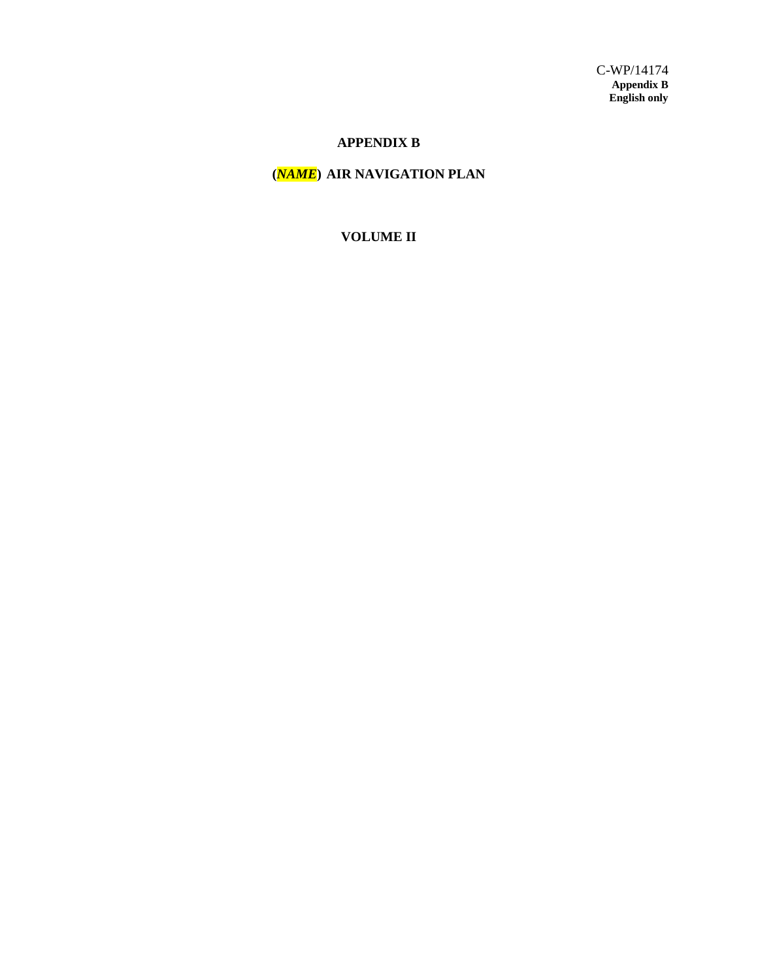# **APPENDIX B**

# **(***NAME***) AIR NAVIGATION PLAN**

# **VOLUME II**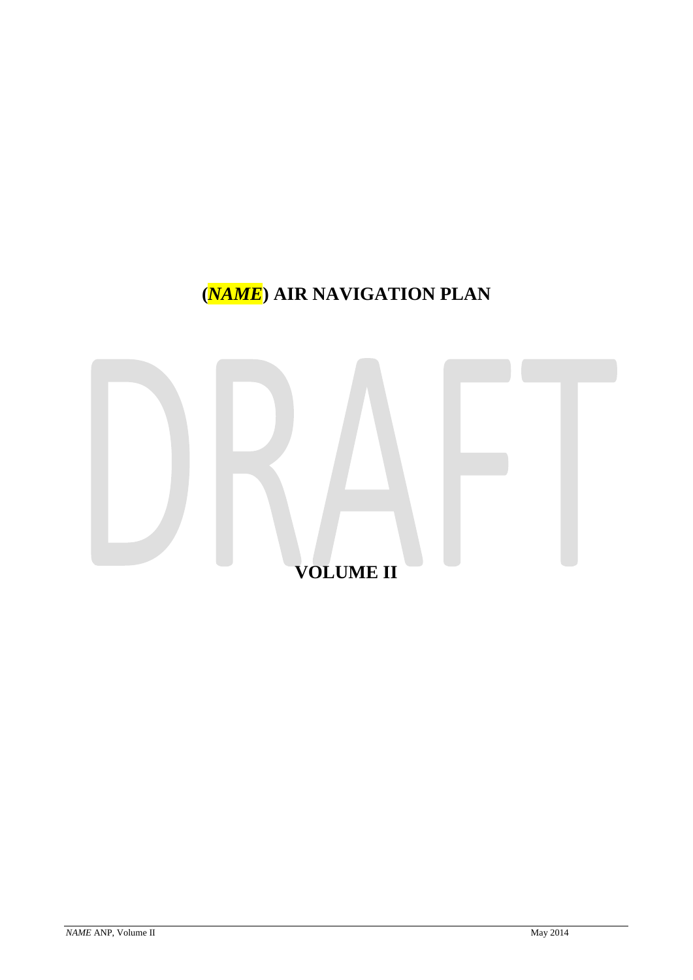# **(***NAME***) AIR NAVIGATION PLAN**

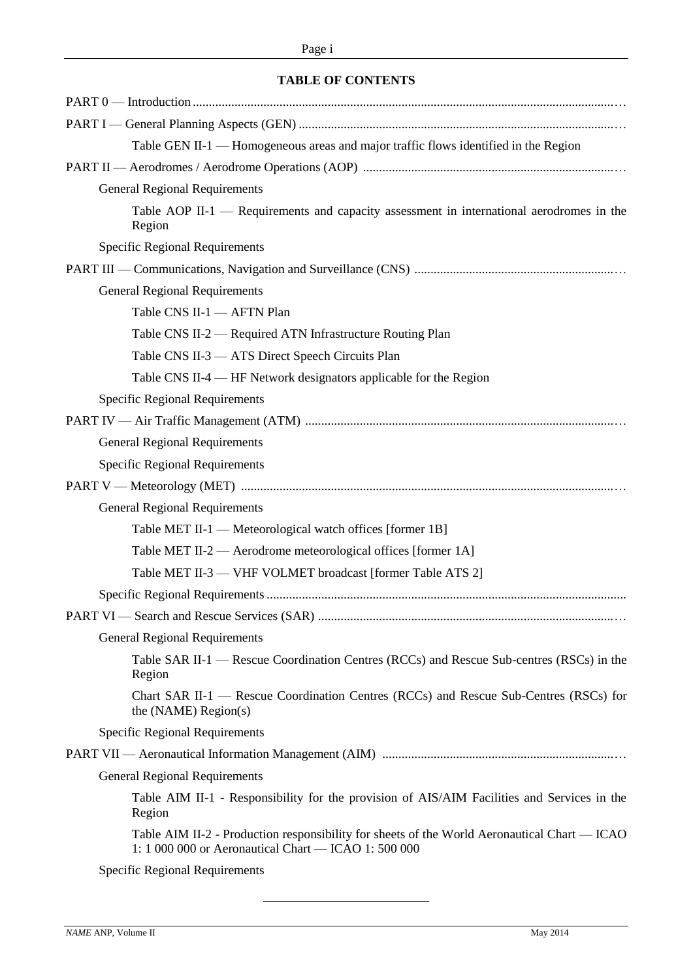# **TABLE OF CONTENTS**

| Table GEN II-1 — Homogeneous areas and major traffic flows identified in the Region                                                                  |
|------------------------------------------------------------------------------------------------------------------------------------------------------|
|                                                                                                                                                      |
| <b>General Regional Requirements</b>                                                                                                                 |
| Table AOP II-1 — Requirements and capacity assessment in international aerodromes in the<br>Region                                                   |
| <b>Specific Regional Requirements</b>                                                                                                                |
|                                                                                                                                                      |
| <b>General Regional Requirements</b>                                                                                                                 |
| Table CNS II-1 - AFTN Plan                                                                                                                           |
| Table CNS II-2 - Required ATN Infrastructure Routing Plan                                                                                            |
| Table CNS II-3 - ATS Direct Speech Circuits Plan                                                                                                     |
| Table CNS II-4 — HF Network designators applicable for the Region                                                                                    |
| <b>Specific Regional Requirements</b>                                                                                                                |
|                                                                                                                                                      |
| <b>General Regional Requirements</b>                                                                                                                 |
| <b>Specific Regional Requirements</b>                                                                                                                |
|                                                                                                                                                      |
| <b>General Regional Requirements</b>                                                                                                                 |
| Table MET II-1 — Meteorological watch offices [former 1B]                                                                                            |
| Table MET II-2 — Aerodrome meteorological offices [former 1A]                                                                                        |
| Table MET II-3 — VHF VOLMET broadcast [former Table ATS 2]                                                                                           |
|                                                                                                                                                      |
|                                                                                                                                                      |
| <b>General Regional Requirements</b>                                                                                                                 |
| Table SAR II-1 — Rescue Coordination Centres (RCCs) and Rescue Sub-centres (RSCs) in the<br>Region                                                   |
| Chart SAR II-1 — Rescue Coordination Centres (RCCs) and Rescue Sub-Centres (RSCs) for<br>the (NAME) Region(s)                                        |
| Specific Regional Requirements                                                                                                                       |
|                                                                                                                                                      |
| <b>General Regional Requirements</b>                                                                                                                 |
| Table AIM II-1 - Responsibility for the provision of AIS/AIM Facilities and Services in the<br>Region                                                |
| Table AIM II-2 - Production responsibility for sheets of the World Aeronautical Chart — ICAO<br>1: 1 000 000 or Aeronautical Chart - ICAO 1: 500 000 |
| <b>Specific Regional Requirements</b>                                                                                                                |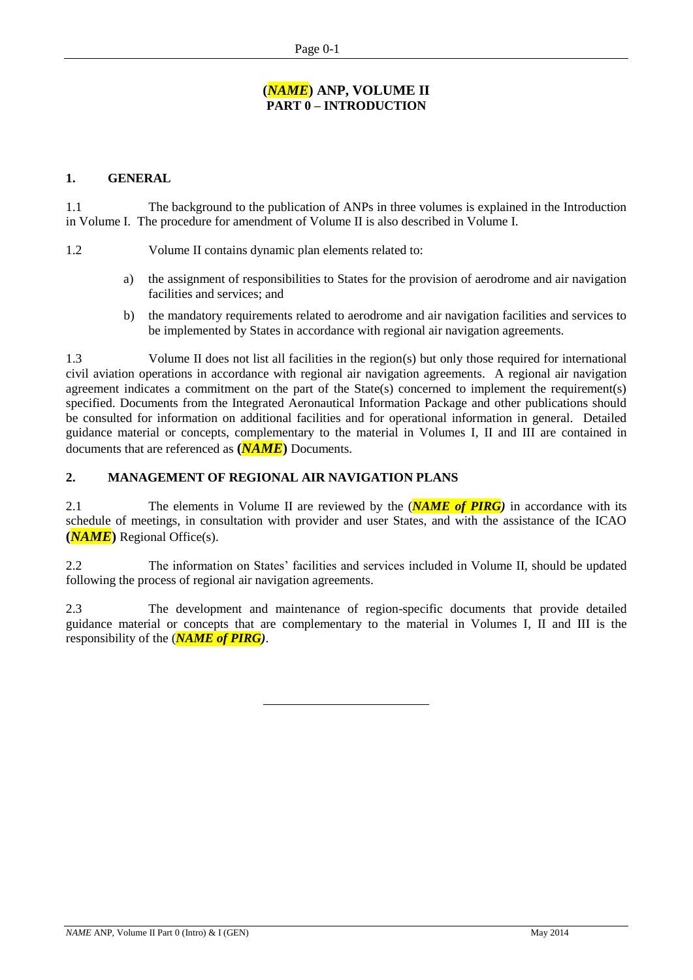# **(***NAME***) ANP, VOLUME II PART 0 – INTRODUCTION**

# **1. GENERAL**

1.1 The background to the publication of ANPs in three volumes is explained in the Introduction in Volume I. The procedure for amendment of Volume II is also described in Volume I.

1.2 Volume II contains dynamic plan elements related to:

- a) the assignment of responsibilities to States for the provision of aerodrome and air navigation facilities and services; and
- b) the mandatory requirements related to aerodrome and air navigation facilities and services to be implemented by States in accordance with regional air navigation agreements.

1.3 Volume II does not list all facilities in the region(s) but only those required for international civil aviation operations in accordance with regional air navigation agreements. A regional air navigation agreement indicates a commitment on the part of the State(s) concerned to implement the requirement(s) specified. Documents from the Integrated Aeronautical Information Package and other publications should be consulted for information on additional facilities and for operational information in general. Detailed guidance material or concepts, complementary to the material in Volumes I, II and III are contained in documents that are referenced as **(***NAME***)** Documents.

# **2. MANAGEMENT OF REGIONAL AIR NAVIGATION PLANS**

2.1 The elements in Volume II are reviewed by the (*NAME of PIRG)* in accordance with its schedule of meetings, in consultation with provider and user States, and with the assistance of the ICAO **(***NAME***)** Regional Office(s).

2.2 The information on States' facilities and services included in Volume II, should be updated following the process of regional air navigation agreements.

2.3 The development and maintenance of region-specific documents that provide detailed guidance material or concepts that are complementary to the material in Volumes I, II and III is the responsibility of the (*NAME of PIRG)*.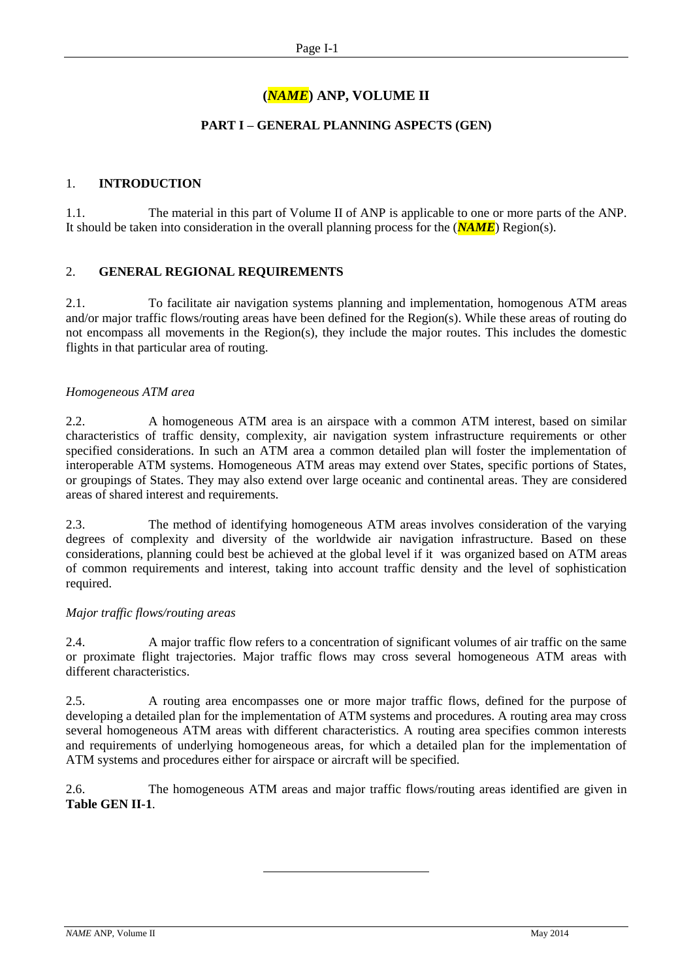# **(***NAME***) ANP, VOLUME II**

# **PART I – GENERAL PLANNING ASPECTS (GEN)**

### 1. **INTRODUCTION**

1.1. The material in this part of Volume II of ANP is applicable to one or more parts of the ANP. It should be taken into consideration in the overall planning process for the (*NAME*) Region(s).

# 2. **GENERAL REGIONAL REQUIREMENTS**

2.1. To facilitate air navigation systems planning and implementation, homogenous ATM areas and/or major traffic flows/routing areas have been defined for the Region(s). While these areas of routing do not encompass all movements in the Region(s), they include the major routes. This includes the domestic flights in that particular area of routing.

# *Homogeneous ATM area*

2.2. A homogeneous ATM area is an airspace with a common ATM interest, based on similar characteristics of traffic density, complexity, air navigation system infrastructure requirements or other specified considerations. In such an ATM area a common detailed plan will foster the implementation of interoperable ATM systems. Homogeneous ATM areas may extend over States, specific portions of States, or groupings of States. They may also extend over large oceanic and continental areas. They are considered areas of shared interest and requirements.

2.3. The method of identifying homogeneous ATM areas involves consideration of the varying degrees of complexity and diversity of the worldwide air navigation infrastructure. Based on these considerations, planning could best be achieved at the global level if it was organized based on ATM areas of common requirements and interest, taking into account traffic density and the level of sophistication required.

### *Major traffic flows/routing areas*

2.4. A major traffic flow refers to a concentration of significant volumes of air traffic on the same or proximate flight trajectories. Major traffic flows may cross several homogeneous ATM areas with different characteristics.

2.5. A routing area encompasses one or more major traffic flows, defined for the purpose of developing a detailed plan for the implementation of ATM systems and procedures. A routing area may cross several homogeneous ATM areas with different characteristics. A routing area specifies common interests and requirements of underlying homogeneous areas, for which a detailed plan for the implementation of ATM systems and procedures either for airspace or aircraft will be specified.

2.6. The homogeneous ATM areas and major traffic flows/routing areas identified are given in **Table GEN II-1**.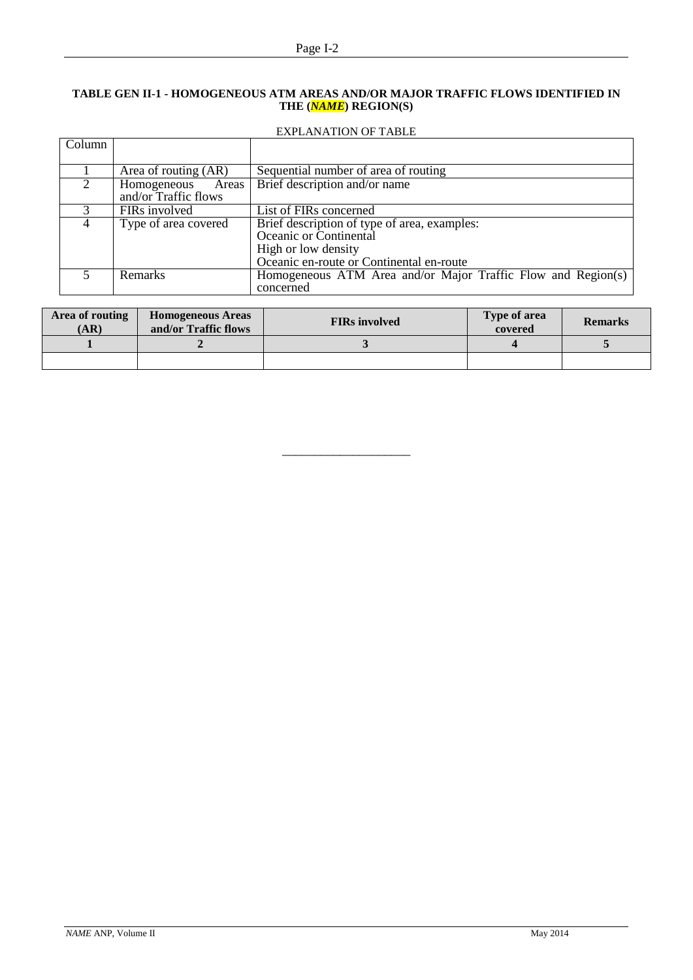### **TABLE GEN II-1 - HOMOGENEOUS ATM AREAS AND/OR MAJOR TRAFFIC FLOWS IDENTIFIED IN THE (***NAME***) REGION(S)**

# EXPLANATION OF TABLE

| <b>Column</b>  |                      |                                                              |
|----------------|----------------------|--------------------------------------------------------------|
|                |                      |                                                              |
|                | Area of routing (AR) | Sequential number of area of routing                         |
|                | Homogeneous<br>Areas | Brief description and/or name                                |
|                | and/or Traffic flows |                                                              |
|                | FIRs involved        | List of FIRs concerned                                       |
| $\overline{4}$ | Type of area covered | Brief description of type of area, examples:                 |
|                |                      | Oceanic or Continental                                       |
|                |                      | High or low density                                          |
|                |                      | Oceanic en-route or Continental en-route                     |
|                | <b>Remarks</b>       | Homogeneous ATM Area and/or Major Traffic Flow and Region(s) |
|                |                      | concerned                                                    |

| Area of routing<br>(AR) | <b>Homogeneous Areas</b><br>and/or Traffic flows | <b>FIRs</b> involved | <b>Type of area</b><br>covered | <b>Remarks</b> |
|-------------------------|--------------------------------------------------|----------------------|--------------------------------|----------------|
|                         |                                                  |                      |                                |                |
|                         |                                                  |                      |                                |                |

\_\_\_\_\_\_\_\_\_\_\_\_\_\_\_\_\_\_\_\_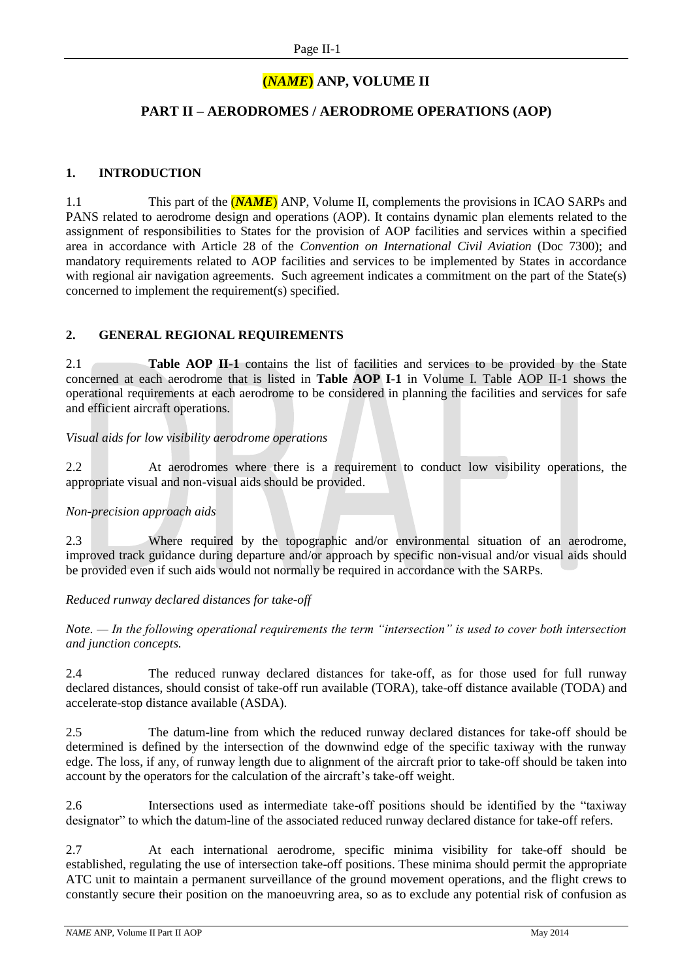# **(***NAME***) ANP, VOLUME II**

# **PART II – AERODROMES / AERODROME OPERATIONS (AOP)**

# **1. INTRODUCTION**

1.1 This part of the (*NAME*) ANP, Volume II, complements the provisions in ICAO SARPs and PANS related to aerodrome design and operations (AOP). It contains dynamic plan elements related to the assignment of responsibilities to States for the provision of AOP facilities and services within a specified area in accordance with Article 28 of the *Convention on International Civil Aviation* (Doc 7300); and mandatory requirements related to AOP facilities and services to be implemented by States in accordance with regional air navigation agreements. Such agreement indicates a commitment on the part of the State(s) concerned to implement the requirement(s) specified.

# **2. GENERAL REGIONAL REQUIREMENTS**

2.1 **Table AOP II-1** contains the list of facilities and services to be provided by the State concerned at each aerodrome that is listed in **Table AOP I-1** in Volume I. Table AOP II-1 shows the operational requirements at each aerodrome to be considered in planning the facilities and services for safe and efficient aircraft operations.

# *Visual aids for low visibility aerodrome operations*

2.2 At aerodromes where there is a requirement to conduct low visibility operations, the appropriate visual and non-visual aids should be provided.

### *Non-precision approach aids*

2.3 Where required by the topographic and/or environmental situation of an aerodrome, improved track guidance during departure and/or approach by specific non-visual and/or visual aids should be provided even if such aids would not normally be required in accordance with the SARPs.

### *Reduced runway declared distances for take-off*

*Note. — In the following operational requirements the term "intersection" is used to cover both intersection and junction concepts.*

2.4 The reduced runway declared distances for take-off, as for those used for full runway declared distances, should consist of take-off run available (TORA), take-off distance available (TODA) and accelerate-stop distance available (ASDA).

2.5 The datum-line from which the reduced runway declared distances for take-off should be determined is defined by the intersection of the downwind edge of the specific taxiway with the runway edge. The loss, if any, of runway length due to alignment of the aircraft prior to take-off should be taken into account by the operators for the calculation of the aircraft's take-off weight.

2.6 Intersections used as intermediate take-off positions should be identified by the "taxiway designator" to which the datum-line of the associated reduced runway declared distance for take-off refers.

2.7 At each international aerodrome, specific minima visibility for take-off should be established, regulating the use of intersection take-off positions. These minima should permit the appropriate ATC unit to maintain a permanent surveillance of the ground movement operations, and the flight crews to constantly secure their position on the manoeuvring area, so as to exclude any potential risk of confusion as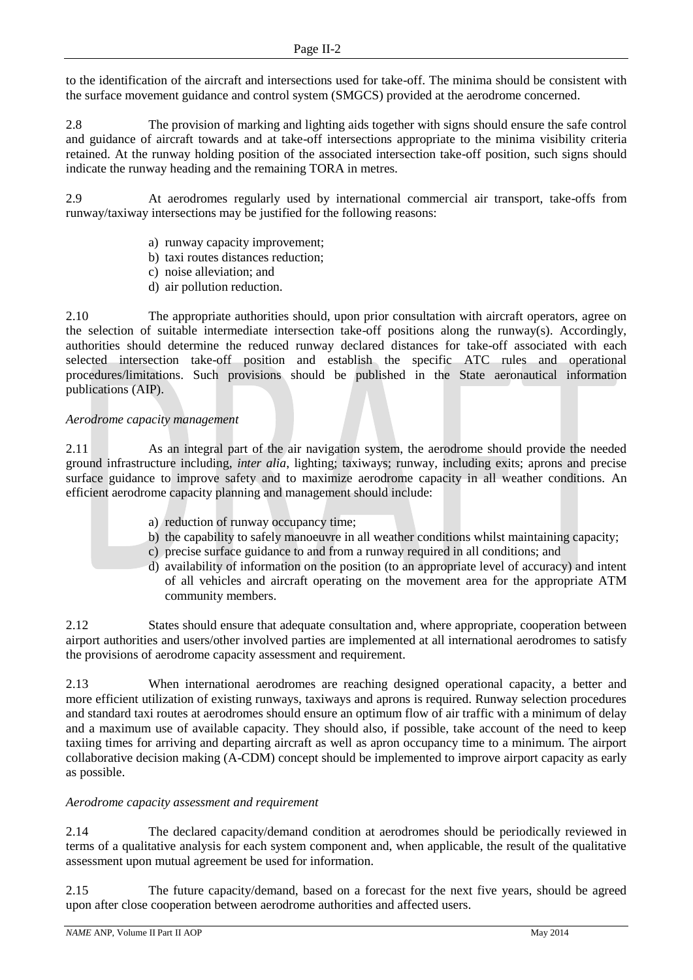to the identification of the aircraft and intersections used for take-off. The minima should be consistent with the surface movement guidance and control system (SMGCS) provided at the aerodrome concerned.

2.8 The provision of marking and lighting aids together with signs should ensure the safe control and guidance of aircraft towards and at take-off intersections appropriate to the minima visibility criteria retained. At the runway holding position of the associated intersection take-off position, such signs should indicate the runway heading and the remaining TORA in metres.

2.9 At aerodromes regularly used by international commercial air transport, take-offs from runway/taxiway intersections may be justified for the following reasons:

- a) runway capacity improvement;
- b) taxi routes distances reduction;
- c) noise alleviation; and
- d) air pollution reduction.

2.10 The appropriate authorities should, upon prior consultation with aircraft operators, agree on the selection of suitable intermediate intersection take-off positions along the runway(s). Accordingly, authorities should determine the reduced runway declared distances for take-off associated with each selected intersection take-off position and establish the specific ATC rules and operational procedures/limitations. Such provisions should be published in the State aeronautical information publications (AIP).

# *Aerodrome capacity management*

2.11 As an integral part of the air navigation system, the aerodrome should provide the needed ground infrastructure including*, inter alia*, lighting; taxiways; runway, including exits; aprons and precise surface guidance to improve safety and to maximize aerodrome capacity in all weather conditions. An efficient aerodrome capacity planning and management should include:

- a) reduction of runway occupancy time;
- b) the capability to safely manoeuvre in all weather conditions whilst maintaining capacity;
- c) precise surface guidance to and from a runway required in all conditions; and
- d) availability of information on the position (to an appropriate level of accuracy) and intent of all vehicles and aircraft operating on the movement area for the appropriate ATM community members.

2.12 States should ensure that adequate consultation and, where appropriate, cooperation between airport authorities and users/other involved parties are implemented at all international aerodromes to satisfy the provisions of aerodrome capacity assessment and requirement.

2.13 When international aerodromes are reaching designed operational capacity, a better and more efficient utilization of existing runways, taxiways and aprons is required. Runway selection procedures and standard taxi routes at aerodromes should ensure an optimum flow of air traffic with a minimum of delay and a maximum use of available capacity. They should also, if possible, take account of the need to keep taxiing times for arriving and departing aircraft as well as apron occupancy time to a minimum. The airport collaborative decision making (A-CDM) concept should be implemented to improve airport capacity as early as possible.

# *Aerodrome capacity assessment and requirement*

2.14 The declared capacity/demand condition at aerodromes should be periodically reviewed in terms of a qualitative analysis for each system component and, when applicable, the result of the qualitative assessment upon mutual agreement be used for information.

2.15 The future capacity/demand, based on a forecast for the next five years, should be agreed upon after close cooperation between aerodrome authorities and affected users.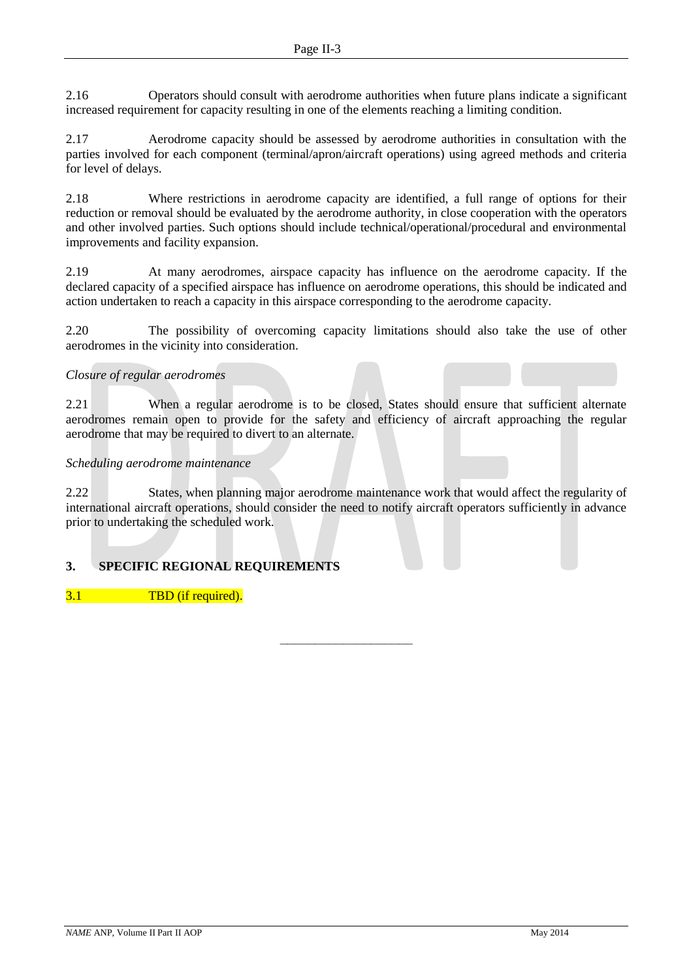2.16 Operators should consult with aerodrome authorities when future plans indicate a significant increased requirement for capacity resulting in one of the elements reaching a limiting condition.

2.17 Aerodrome capacity should be assessed by aerodrome authorities in consultation with the parties involved for each component (terminal/apron/aircraft operations) using agreed methods and criteria for level of delays.

2.18 Where restrictions in aerodrome capacity are identified, a full range of options for their reduction or removal should be evaluated by the aerodrome authority, in close cooperation with the operators and other involved parties. Such options should include technical/operational/procedural and environmental improvements and facility expansion.

2.19 At many aerodromes, airspace capacity has influence on the aerodrome capacity. If the declared capacity of a specified airspace has influence on aerodrome operations, this should be indicated and action undertaken to reach a capacity in this airspace corresponding to the aerodrome capacity.

2.20 The possibility of overcoming capacity limitations should also take the use of other aerodromes in the vicinity into consideration.

# *Closure of regular aerodromes*

2.21 When a regular aerodrome is to be closed, States should ensure that sufficient alternate aerodromes remain open to provide for the safety and efficiency of aircraft approaching the regular aerodrome that may be required to divert to an alternate.

# *Scheduling aerodrome maintenance*

2.22 States, when planning major aerodrome maintenance work that would affect the regularity of international aircraft operations, should consider the need to notify aircraft operators sufficiently in advance prior to undertaking the scheduled work.

–––––––––––––––––––

# **3. SPECIFIC REGIONAL REQUIREMENTS**

3.1 TBD (if required).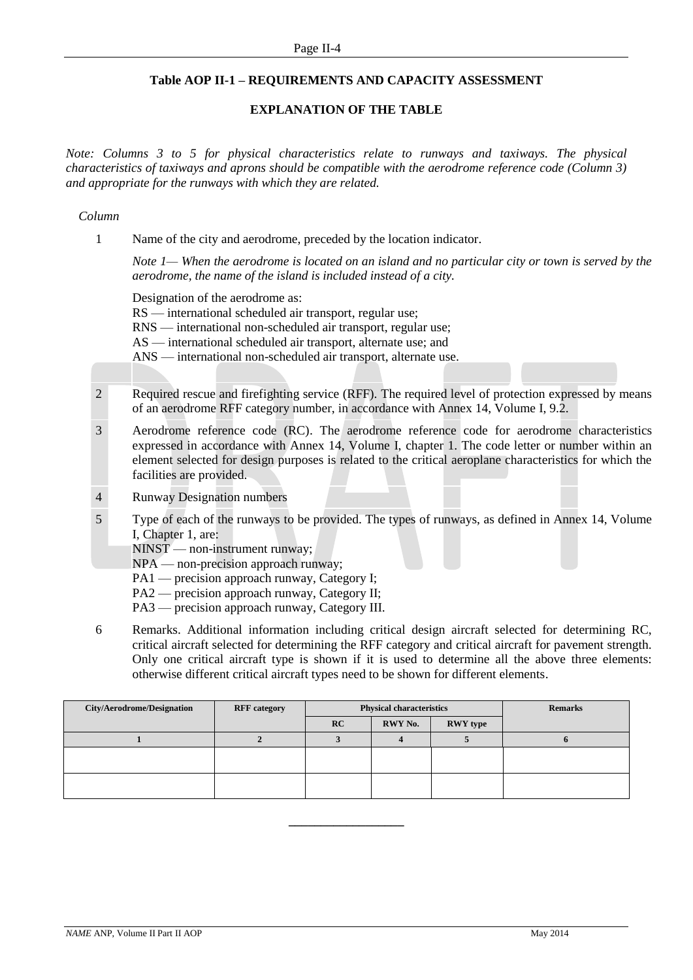# **Table AOP II-1 – REQUIREMENTS AND CAPACITY ASSESSMENT**

# **EXPLANATION OF THE TABLE**

*Note: Columns 3 to 5 for physical characteristics relate to runways and taxiways. The physical characteristics of taxiways and aprons should be compatible with the aerodrome reference code (Column 3) and appropriate for the runways with which they are related.*

### *Column*

1 Name of the city and aerodrome, preceded by the location indicator.

*Note 1— When the aerodrome is located on an island and no particular city or town is served by the aerodrome, the name of the island is included instead of a city.*

Designation of the aerodrome as:

RS — international scheduled air transport, regular use;

RNS — international non-scheduled air transport, regular use;

AS — international scheduled air transport, alternate use; and

ANS — international non-scheduled air transport, alternate use.

- 2 Required rescue and firefighting service (RFF). The required level of protection expressed by means of an aerodrome RFF category number, in accordance with Annex 14, Volume I, 9.2.
- 3 Aerodrome reference code (RC). The aerodrome reference code for aerodrome characteristics expressed in accordance with Annex 14, Volume I, chapter 1. The code letter or number within an element selected for design purposes is related to the critical aeroplane characteristics for which the facilities are provided.
- 4 Runway Designation numbers
- 5 Type of each of the runways to be provided. The types of runways, as defined in Annex 14, Volume I, Chapter 1, are:

NINST — non-instrument runway;

NPA — non-precision approach runway;

- PA1 precision approach runway, Category I;
- PA2 precision approach runway, Category II;
- PA3 precision approach runway, Category III.
- 6 Remarks. Additional information including critical design aircraft selected for determining RC, critical aircraft selected for determining the RFF category and critical aircraft for pavement strength. Only one critical aircraft type is shown if it is used to determine all the above three elements: otherwise different critical aircraft types need to be shown for different elements.

| <b>City/Aerodrome/Designation</b> | <b>RFF</b> category | <b>Physical characteristics</b> |         |                 | <b>Remarks</b> |
|-----------------------------------|---------------------|---------------------------------|---------|-----------------|----------------|
|                                   |                     | RC                              | RWY No. | <b>RWY</b> type |                |
|                                   |                     |                                 |         |                 |                |
|                                   |                     |                                 |         |                 |                |
|                                   |                     |                                 |         |                 |                |
|                                   |                     |                                 |         |                 |                |
|                                   |                     |                                 |         |                 |                |

**\_\_\_\_\_\_\_\_\_\_\_\_\_\_\_\_\_\_**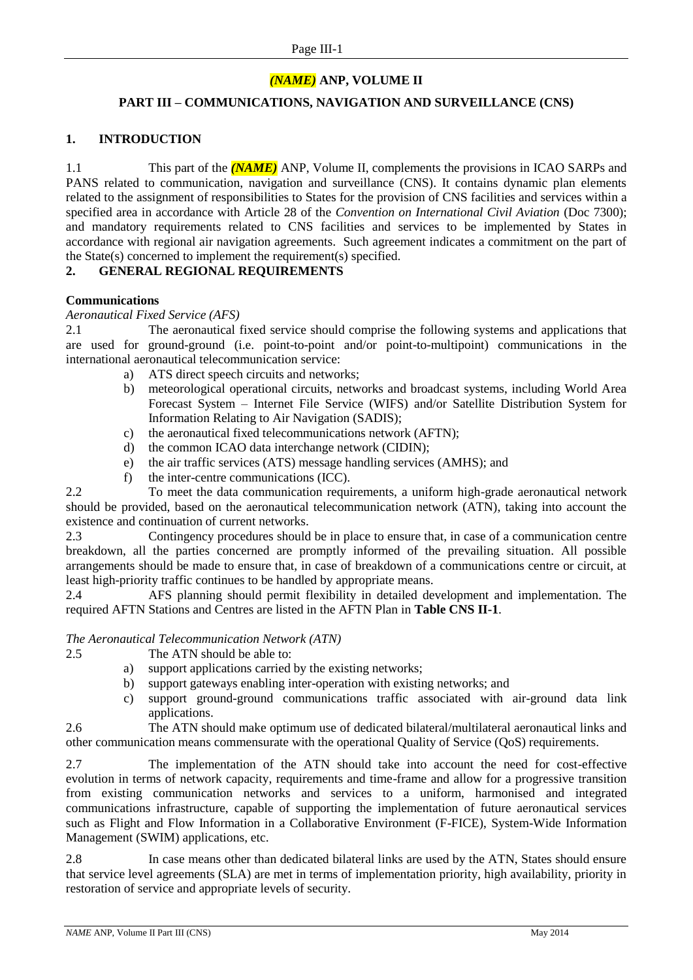# *(NAME)* **ANP, VOLUME II**

# **PART III – COMMUNICATIONS, NAVIGATION AND SURVEILLANCE (CNS)**

# **1. INTRODUCTION**

1.1 This part of the *(NAME)* ANP, Volume II, complements the provisions in ICAO SARPs and PANS related to communication, navigation and surveillance (CNS). It contains dynamic plan elements related to the assignment of responsibilities to States for the provision of CNS facilities and services within a specified area in accordance with Article 28 of the *Convention on International Civil Aviation* (Doc 7300); and mandatory requirements related to CNS facilities and services to be implemented by States in accordance with regional air navigation agreements. Such agreement indicates a commitment on the part of the State(s) concerned to implement the requirement(s) specified.

### **2. GENERAL REGIONAL REQUIREMENTS**

### **Communications**

### *Aeronautical Fixed Service (AFS)*

2.1 The aeronautical fixed service should comprise the following systems and applications that are used for ground-ground (i.e. point-to-point and/or point-to-multipoint) communications in the international aeronautical telecommunication service:

- a) ATS direct speech circuits and networks;
- b) meteorological operational circuits, networks and broadcast systems, including World Area Forecast System – Internet File Service (WIFS) and/or Satellite Distribution System for Information Relating to Air Navigation (SADIS);
- c) the aeronautical fixed telecommunications network (AFTN);
- d) the common ICAO data interchange network (CIDIN);
- e) the air traffic services (ATS) message handling services (AMHS); and
- f) the inter-centre communications (ICC).

2.2 To meet the data communication requirements, a uniform high-grade aeronautical network should be provided, based on the aeronautical telecommunication network (ATN), taking into account the existence and continuation of current networks.

2.3 Contingency procedures should be in place to ensure that, in case of a communication centre breakdown, all the parties concerned are promptly informed of the prevailing situation. All possible arrangements should be made to ensure that, in case of breakdown of a communications centre or circuit, at least high-priority traffic continues to be handled by appropriate means.

2.4 AFS planning should permit flexibility in detailed development and implementation. The required AFTN Stations and Centres are listed in the AFTN Plan in **Table CNS II-1**.

### *The Aeronautical Telecommunication Network (ATN)*

- 2.5 The ATN should be able to:
	- a) support applications carried by the existing networks;
	- b) support gateways enabling inter-operation with existing networks; and
	- c) support ground-ground communications traffic associated with air-ground data link applications.

2.6 The ATN should make optimum use of dedicated bilateral/multilateral aeronautical links and other communication means commensurate with the operational Quality of Service (QoS) requirements.

2.7 The implementation of the ATN should take into account the need for cost-effective evolution in terms of network capacity, requirements and time-frame and allow for a progressive transition from existing communication networks and services to a uniform, harmonised and integrated communications infrastructure, capable of supporting the implementation of future aeronautical services such as Flight and Flow Information in a Collaborative Environment (F-FICE), System-Wide Information Management (SWIM) applications, etc.

2.8 In case means other than dedicated bilateral links are used by the ATN, States should ensure that service level agreements (SLA) are met in terms of implementation priority, high availability, priority in restoration of service and appropriate levels of security.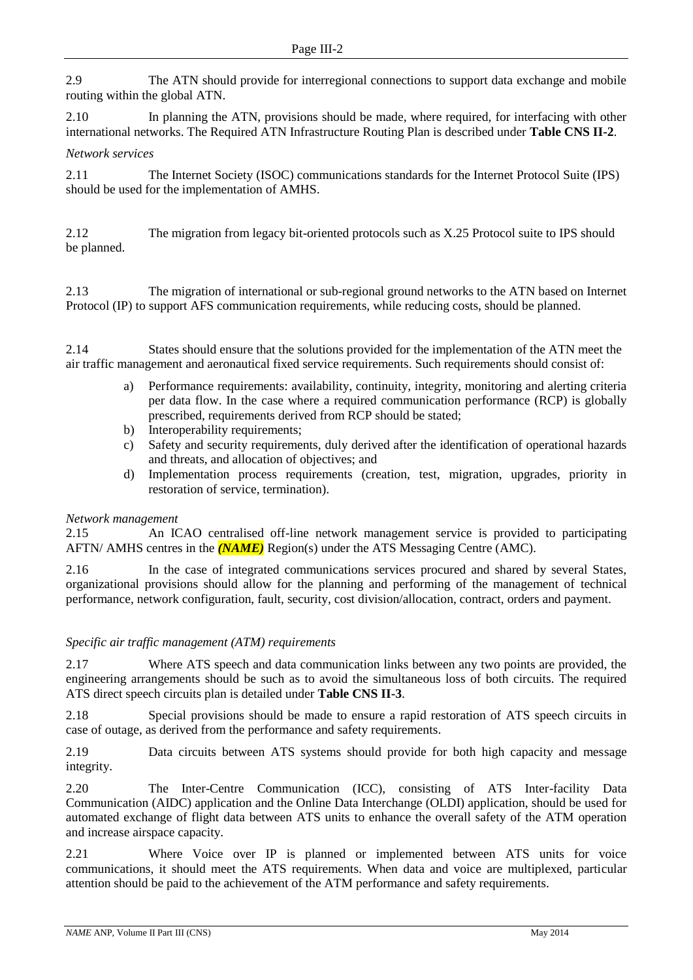2.9 The ATN should provide for interregional connections to support data exchange and mobile routing within the global ATN.

2.10 In planning the ATN, provisions should be made, where required, for interfacing with other international networks. The Required ATN Infrastructure Routing Plan is described under **Table CNS II-2**.

### *Network services*

2.11 The Internet Society (ISOC) communications standards for the Internet Protocol Suite (IPS) should be used for the implementation of AMHS.

2.12 The migration from legacy bit-oriented protocols such as X.25 Protocol suite to IPS should be planned.

2.13 The migration of international or sub-regional ground networks to the ATN based on Internet Protocol (IP) to support AFS communication requirements, while reducing costs, should be planned.

2.14 States should ensure that the solutions provided for the implementation of the ATN meet the air traffic management and aeronautical fixed service requirements. Such requirements should consist of:

- a) Performance requirements: availability, continuity, integrity, monitoring and alerting criteria per data flow. In the case where a required communication performance (RCP) is globally prescribed, requirements derived from RCP should be stated;
- b) Interoperability requirements;
- c) Safety and security requirements, duly derived after the identification of operational hazards and threats, and allocation of objectives; and
- d) Implementation process requirements (creation, test, migration, upgrades, priority in restoration of service, termination).

### *Network management*

2.15 An ICAO centralised off-line network management service is provided to participating AFTN/ AMHS centres in the *(NAME)* Region(s) under the ATS Messaging Centre (AMC).

2.16 In the case of integrated communications services procured and shared by several States, organizational provisions should allow for the planning and performing of the management of technical performance, network configuration, fault, security, cost division/allocation, contract, orders and payment.

### *Specific air traffic management (ATM) requirements*

2.17 Where ATS speech and data communication links between any two points are provided, the engineering arrangements should be such as to avoid the simultaneous loss of both circuits. The required ATS direct speech circuits plan is detailed under **Table CNS II-3**.

2.18 Special provisions should be made to ensure a rapid restoration of ATS speech circuits in case of outage, as derived from the performance and safety requirements.

2.19 Data circuits between ATS systems should provide for both high capacity and message integrity.

2.20 The Inter-Centre Communication (ICC), consisting of ATS Inter-facility Data Communication (AIDC) application and the Online Data Interchange (OLDI) application, should be used for automated exchange of flight data between ATS units to enhance the overall safety of the ATM operation and increase airspace capacity.

2.21 Where Voice over IP is planned or implemented between ATS units for voice communications, it should meet the ATS requirements. When data and voice are multiplexed, particular attention should be paid to the achievement of the ATM performance and safety requirements.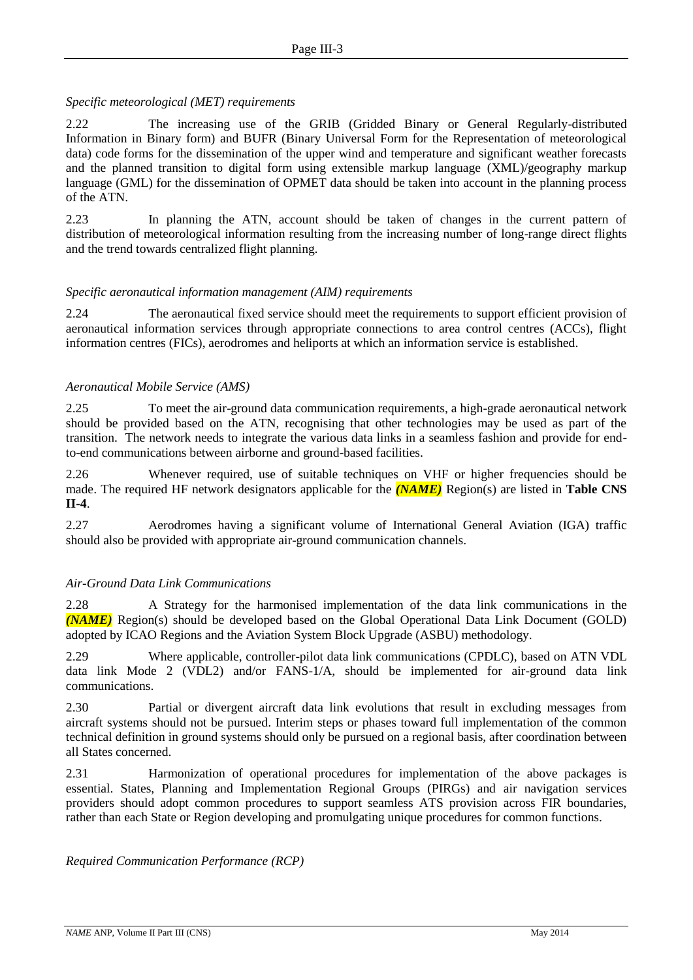# *Specific meteorological (MET) requirements*

2.22 The increasing use of the GRIB (Gridded Binary or General Regularly-distributed Information in Binary form) and BUFR (Binary Universal Form for the Representation of meteorological data) code forms for the dissemination of the upper wind and temperature and significant weather forecasts and the planned transition to digital form using extensible markup language (XML)/geography markup language (GML) for the dissemination of OPMET data should be taken into account in the planning process of the ATN.

2.23 In planning the ATN, account should be taken of changes in the current pattern of distribution of meteorological information resulting from the increasing number of long-range direct flights and the trend towards centralized flight planning.

# *Specific aeronautical information management (AIM) requirements*

2.24 The aeronautical fixed service should meet the requirements to support efficient provision of aeronautical information services through appropriate connections to area control centres (ACCs), flight information centres (FICs), aerodromes and heliports at which an information service is established.

# *Aeronautical Mobile Service (AMS)*

2.25 To meet the air-ground data communication requirements, a high-grade aeronautical network should be provided based on the ATN, recognising that other technologies may be used as part of the transition. The network needs to integrate the various data links in a seamless fashion and provide for endto-end communications between airborne and ground-based facilities.

2.26 Whenever required, use of suitable techniques on VHF or higher frequencies should be made. The required HF network designators applicable for the *(NAME)* Region(s) are listed in **Table CNS II-4**.

2.27 Aerodromes having a significant volume of International General Aviation (IGA) traffic should also be provided with appropriate air-ground communication channels.

# *Air-Ground Data Link Communications*

2.28 A Strategy for the harmonised implementation of the data link communications in the *(NAME)* Region(s) should be developed based on the Global Operational Data Link Document (GOLD) adopted by ICAO Regions and the Aviation System Block Upgrade (ASBU) methodology.

2.29 Where applicable, controller-pilot data link communications (CPDLC), based on ATN VDL data link Mode 2 (VDL2) and/or FANS-1/A, should be implemented for air-ground data link communications.

2.30 Partial or divergent aircraft data link evolutions that result in excluding messages from aircraft systems should not be pursued. Interim steps or phases toward full implementation of the common technical definition in ground systems should only be pursued on a regional basis, after coordination between all States concerned.

2.31 Harmonization of operational procedures for implementation of the above packages is essential. States, Planning and Implementation Regional Groups (PIRGs) and air navigation services providers should adopt common procedures to support seamless ATS provision across FIR boundaries, rather than each State or Region developing and promulgating unique procedures for common functions.

*Required Communication Performance (RCP)*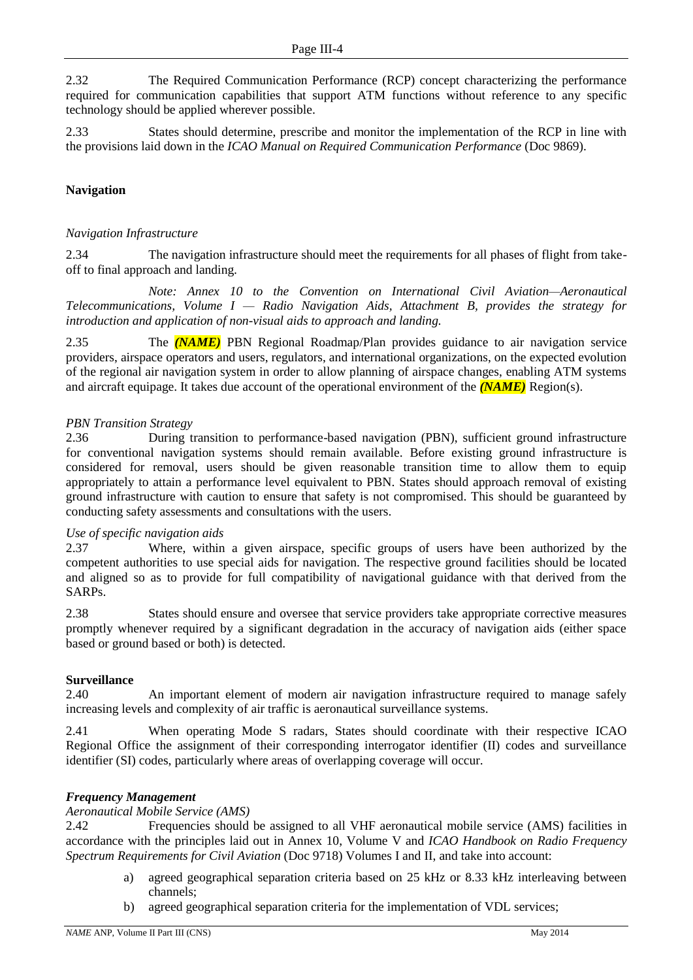2.32 The Required Communication Performance (RCP) concept characterizing the performance required for communication capabilities that support ATM functions without reference to any specific technology should be applied wherever possible.

2.33 States should determine, prescribe and monitor the implementation of the RCP in line with the provisions laid down in the *ICAO Manual on Required Communication Performance* (Doc 9869).

# **Navigation**

# *Navigation Infrastructure*

2.34 The navigation infrastructure should meet the requirements for all phases of flight from takeoff to final approach and landing.

*Note: Annex 10 to the Convention on International Civil Aviation—Aeronautical Telecommunications, Volume I — Radio Navigation Aids, Attachment B, provides the strategy for introduction and application of non-visual aids to approach and landing.*

2.35 The *(NAME)* PBN Regional Roadmap/Plan provides guidance to air navigation service providers, airspace operators and users, regulators, and international organizations, on the expected evolution of the regional air navigation system in order to allow planning of airspace changes, enabling ATM systems and aircraft equipage. It takes due account of the operational environment of the *(NAME)* Region(s).

# *PBN Transition Strategy*

2.36 During transition to performance-based navigation (PBN), sufficient ground infrastructure for conventional navigation systems should remain available. Before existing ground infrastructure is considered for removal, users should be given reasonable transition time to allow them to equip appropriately to attain a performance level equivalent to PBN. States should approach removal of existing ground infrastructure with caution to ensure that safety is not compromised. This should be guaranteed by conducting safety assessments and consultations with the users.

### *Use of specific navigation aids*

2.37 Where, within a given airspace, specific groups of users have been authorized by the competent authorities to use special aids for navigation. The respective ground facilities should be located and aligned so as to provide for full compatibility of navigational guidance with that derived from the SARPs.

2.38 States should ensure and oversee that service providers take appropriate corrective measures promptly whenever required by a significant degradation in the accuracy of navigation aids (either space based or ground based or both) is detected.

### **Surveillance**

2.40 An important element of modern air navigation infrastructure required to manage safely increasing levels and complexity of air traffic is aeronautical surveillance systems.

2.41 When operating Mode S radars, States should coordinate with their respective ICAO Regional Office the assignment of their corresponding interrogator identifier (II) codes and surveillance identifier (SI) codes, particularly where areas of overlapping coverage will occur.

### *Frequency Management*

*Aeronautical Mobile Service (AMS)*

2.42 Frequencies should be assigned to all VHF aeronautical mobile service (AMS) facilities in accordance with the principles laid out in Annex 10, Volume V and *ICAO Handbook on Radio Frequency Spectrum Requirements for Civil Aviation* (Doc 9718) Volumes I and II, and take into account:

- a) agreed geographical separation criteria based on 25 kHz or 8.33 kHz interleaving between channels;
- b) agreed geographical separation criteria for the implementation of VDL services;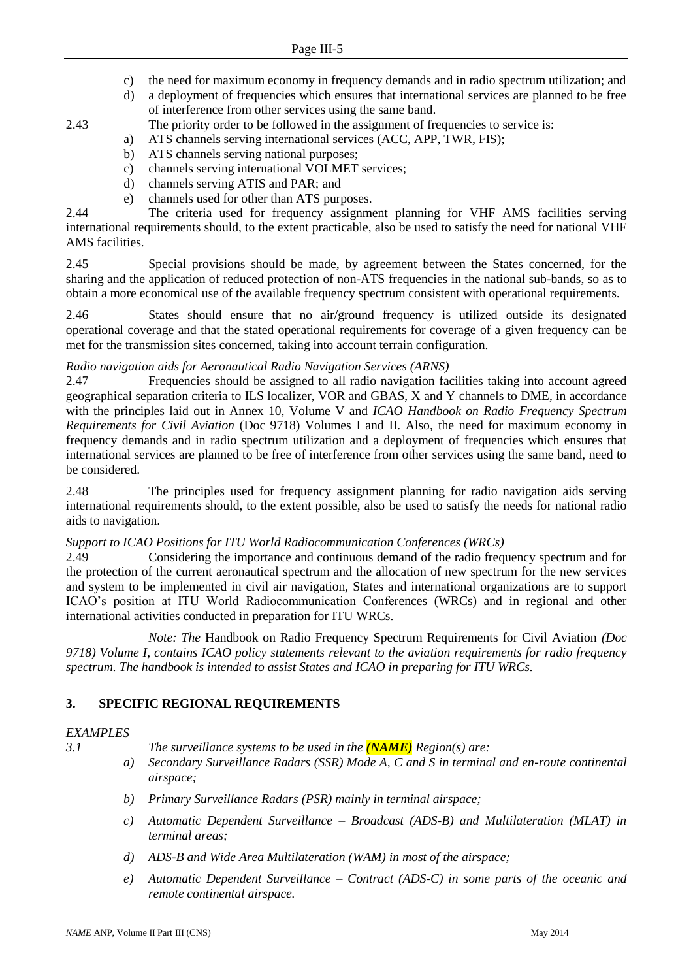- c) the need for maximum economy in frequency demands and in radio spectrum utilization; and
- d) a deployment of frequencies which ensures that international services are planned to be free of interference from other services using the same band.
- 2.43 The priority order to be followed in the assignment of frequencies to service is:
	- a) ATS channels serving international services (ACC, APP, TWR, FIS);
	- b) ATS channels serving national purposes;
	- c) channels serving international VOLMET services;
	- d) channels serving ATIS and PAR; and
	- e) channels used for other than ATS purposes.

2.44 The criteria used for frequency assignment planning for VHF AMS facilities serving international requirements should, to the extent practicable, also be used to satisfy the need for national VHF AMS facilities.

2.45 Special provisions should be made, by agreement between the States concerned, for the sharing and the application of reduced protection of non-ATS frequencies in the national sub-bands, so as to obtain a more economical use of the available frequency spectrum consistent with operational requirements.

2.46 States should ensure that no air/ground frequency is utilized outside its designated operational coverage and that the stated operational requirements for coverage of a given frequency can be met for the transmission sites concerned, taking into account terrain configuration.

# *Radio navigation aids for Aeronautical Radio Navigation Services (ARNS)*

2.47 Frequencies should be assigned to all radio navigation facilities taking into account agreed geographical separation criteria to ILS localizer, VOR and GBAS, X and Y channels to DME, in accordance with the principles laid out in Annex 10, Volume V and *ICAO Handbook on Radio Frequency Spectrum Requirements for Civil Aviation* (Doc 9718) Volumes I and II. Also, the need for maximum economy in frequency demands and in radio spectrum utilization and a deployment of frequencies which ensures that international services are planned to be free of interference from other services using the same band, need to be considered.

2.48 The principles used for frequency assignment planning for radio navigation aids serving international requirements should, to the extent possible, also be used to satisfy the needs for national radio aids to navigation.

# *Support to ICAO Positions for ITU World Radiocommunication Conferences (WRCs)*

2.49 Considering the importance and continuous demand of the radio frequency spectrum and for the protection of the current aeronautical spectrum and the allocation of new spectrum for the new services and system to be implemented in civil air navigation, States and international organizations are to support ICAO's position at ITU World Radiocommunication Conferences (WRCs) and in regional and other international activities conducted in preparation for ITU WRCs.

*Note: The* Handbook on Radio Frequency Spectrum Requirements for Civil Aviation *(Doc 9718) Volume I, contains ICAO policy statements relevant to the aviation requirements for radio frequency spectrum. The handbook is intended to assist States and ICAO in preparing for ITU WRCs.*

# **3. SPECIFIC REGIONAL REQUIREMENTS**

# *EXAMPLES*

*3.1 The surveillance systems to be used in the (NAME) Region(s) are:*

- *a) Secondary Surveillance Radars (SSR) Mode A, C and S in terminal and en-route continental airspace;*
- *b) Primary Surveillance Radars (PSR) mainly in terminal airspace;*
- *c) Automatic Dependent Surveillance – Broadcast (ADS-B) and Multilateration (MLAT) in terminal areas;*
- *d) ADS-B and Wide Area Multilateration (WAM) in most of the airspace;*
- *e) Automatic Dependent Surveillance – Contract (ADS-C) in some parts of the oceanic and remote continental airspace.*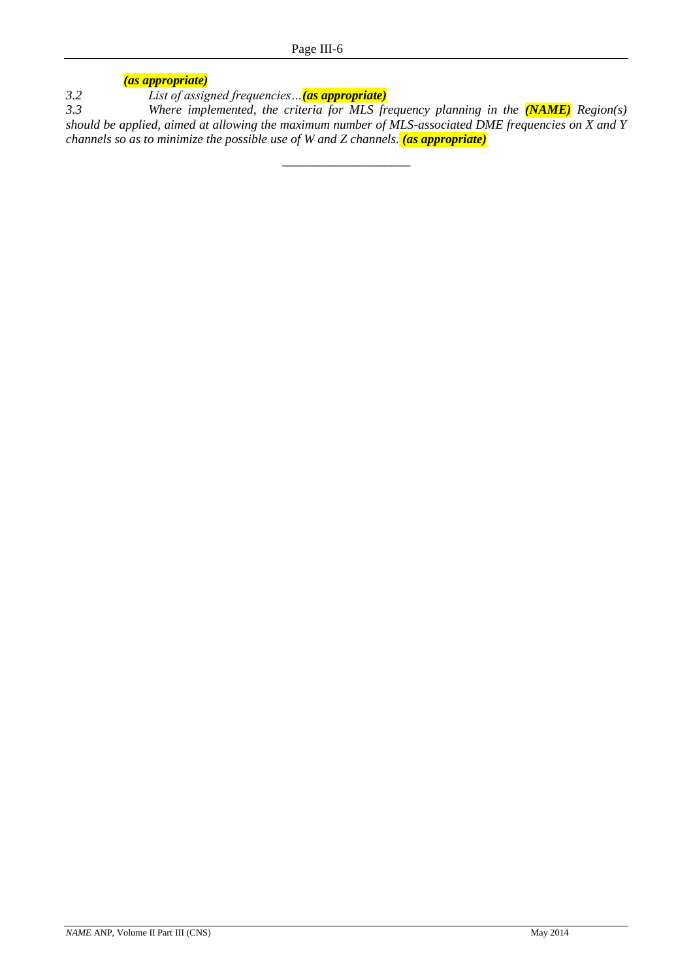*(as appropriate)*

*3.2 List of assigned frequencies…(as appropriate)*

*3.3 Where implemented, the criteria for MLS frequency planning in the (NAME) Region(s) should be applied, aimed at allowing the maximum number of MLS-associated DME frequencies on X and Y channels so as to minimize the possible use of W and Z channels. (as appropriate)*

\_\_\_\_\_\_\_\_\_\_\_\_\_\_\_\_\_\_\_\_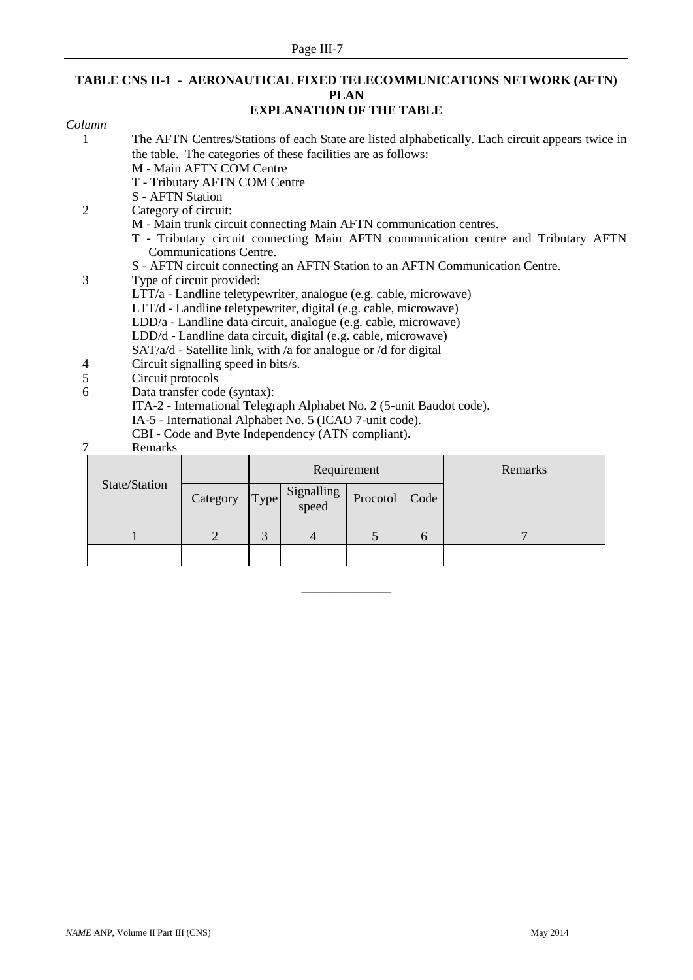# **TABLE CNS II-1 - AERONAUTICAL FIXED TELECOMMUNICATIONS NETWORK (AFTN) PLAN**

# **EXPLANATION OF THE TABLE**

| Column |                         |                                                                      |             |                     |             |      |                                                                                                  |  |  |
|--------|-------------------------|----------------------------------------------------------------------|-------------|---------------------|-------------|------|--------------------------------------------------------------------------------------------------|--|--|
|        |                         |                                                                      |             |                     |             |      | The AFTN Centres/Stations of each State are listed alphabetically. Each circuit appears twice in |  |  |
|        |                         | the table. The categories of these facilities are as follows:        |             |                     |             |      |                                                                                                  |  |  |
|        |                         | M - Main AFTN COM Centre                                             |             |                     |             |      |                                                                                                  |  |  |
|        |                         | T - Tributary AFTN COM Centre                                        |             |                     |             |      |                                                                                                  |  |  |
|        | <b>S</b> - AFTN Station |                                                                      |             |                     |             |      |                                                                                                  |  |  |
| 2      | Category of circuit:    |                                                                      |             |                     |             |      |                                                                                                  |  |  |
|        |                         | M - Main trunk circuit connecting Main AFTN communication centres.   |             |                     |             |      |                                                                                                  |  |  |
|        |                         |                                                                      |             |                     |             |      | T - Tributary circuit connecting Main AFTN communication centre and Tributary AFTN               |  |  |
|        |                         | <b>Communications Centre.</b>                                        |             |                     |             |      |                                                                                                  |  |  |
|        |                         |                                                                      |             |                     |             |      | S - AFTN circuit connecting an AFTN Station to an AFTN Communication Centre.                     |  |  |
| 3      |                         | Type of circuit provided:                                            |             |                     |             |      |                                                                                                  |  |  |
|        |                         | LTT/a - Landline teletypewriter, analogue (e.g. cable, microwave)    |             |                     |             |      |                                                                                                  |  |  |
|        |                         | LTT/d - Landline teletypewriter, digital (e.g. cable, microwave)     |             |                     |             |      |                                                                                                  |  |  |
|        |                         | LDD/a - Landline data circuit, analogue (e.g. cable, microwave)      |             |                     |             |      |                                                                                                  |  |  |
|        |                         | LDD/d - Landline data circuit, digital (e.g. cable, microwave)       |             |                     |             |      |                                                                                                  |  |  |
|        |                         | SAT/a/d - Satellite link, with /a for analogue or /d for digital     |             |                     |             |      |                                                                                                  |  |  |
| 4      |                         | Circuit signalling speed in bits/s.                                  |             |                     |             |      |                                                                                                  |  |  |
| 5      | Circuit protocols       |                                                                      |             |                     |             |      |                                                                                                  |  |  |
| 6      |                         | Data transfer code (syntax):                                         |             |                     |             |      |                                                                                                  |  |  |
|        |                         | ITA-2 - International Telegraph Alphabet No. 2 (5-unit Baudot code). |             |                     |             |      |                                                                                                  |  |  |
|        |                         | IA-5 - International Alphabet No. 5 (ICAO 7-unit code).              |             |                     |             |      |                                                                                                  |  |  |
|        |                         | CBI - Code and Byte Independency (ATN compliant).                    |             |                     |             |      |                                                                                                  |  |  |
| 7      | Remarks                 |                                                                      |             |                     |             |      |                                                                                                  |  |  |
|        |                         |                                                                      |             |                     | Requirement |      | Remarks                                                                                          |  |  |
|        | State/Station           |                                                                      |             |                     |             |      |                                                                                                  |  |  |
|        |                         | Category                                                             | <b>Type</b> | Signalling<br>speed | Procotol    | Code |                                                                                                  |  |  |

1 2 3 4 5 6 7

\_\_\_\_\_\_\_\_\_\_\_\_\_\_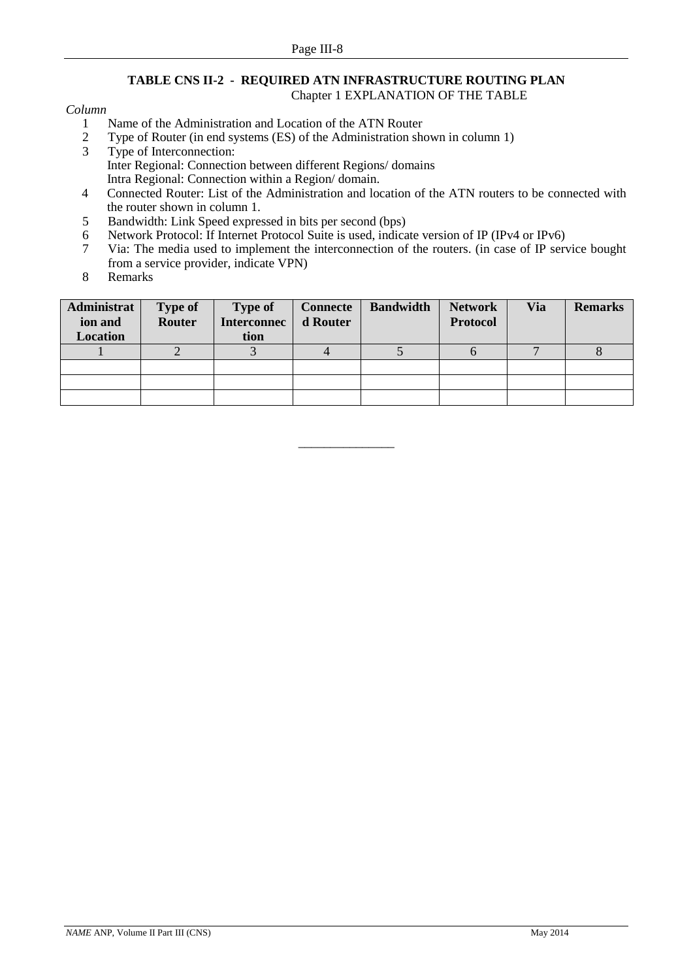# **TABLE CNS II-2 - REQUIRED ATN INFRASTRUCTURE ROUTING PLAN** Chapter 1 EXPLANATION OF THE TABLE

### *Column*

- 1 Name of the Administration and Location of the ATN Router<br>2 Type of Router (in end systems (ES) of the Administration she
- 2 Type of Router (in end systems (ES) of the Administration shown in column 1)<br>
Type of Interconnection
- Type of Interconnection: Inter Regional: Connection between different Regions/ domains Intra Regional: Connection within a Region/ domain.
- 4 Connected Router: List of the Administration and location of the ATN routers to be connected with the router shown in column 1.
- 5 Bandwidth: Link Speed expressed in bits per second (bps)
- 6 Network Protocol: If Internet Protocol Suite is used, indicate version of IP (IPv4 or IPv6)<br>7 Via: The media used to implement the interconnection of the routers. (in case of IP serv
- 7 Via: The media used to implement the interconnection of the routers. (in case of IP service bought from a service provider, indicate VPN)
- 8 Remarks

| Administrat<br>ion and<br>Location | <b>Type of</b><br>Router | <b>Type of</b><br><b>Interconnec</b><br>tion | <b>Connecte</b><br>d Router | <b>Bandwidth</b> | <b>Network</b><br><b>Protocol</b> | <b>Via</b> | <b>Remarks</b> |
|------------------------------------|--------------------------|----------------------------------------------|-----------------------------|------------------|-----------------------------------|------------|----------------|
|                                    |                          |                                              |                             |                  |                                   |            |                |
|                                    |                          |                                              |                             |                  |                                   |            |                |
|                                    |                          |                                              |                             |                  |                                   |            |                |
|                                    |                          |                                              |                             |                  |                                   |            |                |

\_\_\_\_\_\_\_\_\_\_\_\_\_\_\_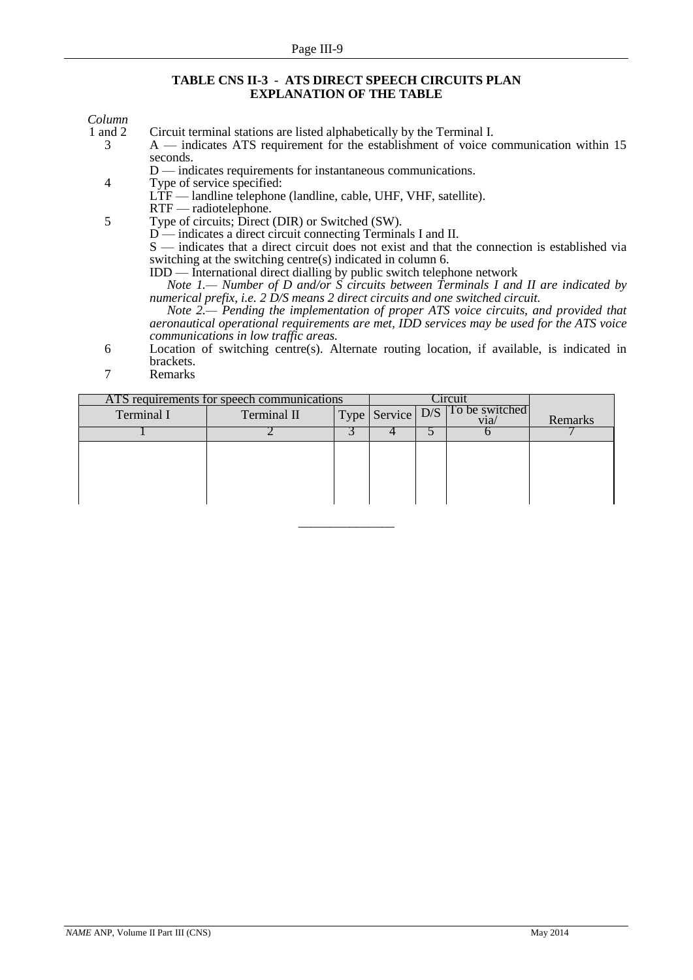### **TABLE CNS II-3 - ATS DIRECT SPEECH CIRCUITS PLAN EXPLANATION OF THE TABLE**

# *Column*

1 and 2 Circuit terminal stations are listed alphabetically by the Terminal I.<br>
2 A — indicates ATS requirement for the establishment of voice of A — indicates ATS requirement for the establishment of voice communication within 15 seconds.

D — indicates requirements for instantaneous communications.

- 4 Type of service specified:
	- LTF landline telephone (landline, cable, UHF, VHF, satellite).
- RTF radiotelephone.

5 Type of circuits; Direct (DIR) or Switched (SW).

D — indicates a direct circuit connecting Terminals I and II.

S — indicates that a direct circuit does not exist and that the connection is established via switching at the switching centre(s) indicated in column 6.

IDD — International direct dialling by public switch telephone network

*Note 1.— Number of D and/or S circuits between Terminals I and II are indicated by numerical prefix, i.e. 2 D/S means 2 direct circuits and one switched circuit.*

*Note 2.— Pending the implementation of proper ATS voice circuits, and provided that aeronautical operational requirements are met, IDD services may be used for the ATS voice communications in low traffic areas.*

- 6 Location of switching centre(s). Alternate routing location, if available, is indicated in brackets.
- 7 Remarks

| ATS requirements for speech communications |             |  |                  | `1rcu1                 |         |
|--------------------------------------------|-------------|--|------------------|------------------------|---------|
| Terminal I                                 | Terminal II |  | Type Service D/S | To be switched<br>via⁄ | Remarks |
|                                            |             |  |                  |                        |         |
|                                            |             |  |                  |                        |         |
|                                            |             |  |                  |                        |         |
|                                            |             |  |                  |                        |         |
|                                            |             |  |                  |                        |         |
|                                            |             |  |                  |                        |         |

\_\_\_\_\_\_\_\_\_\_\_\_\_\_\_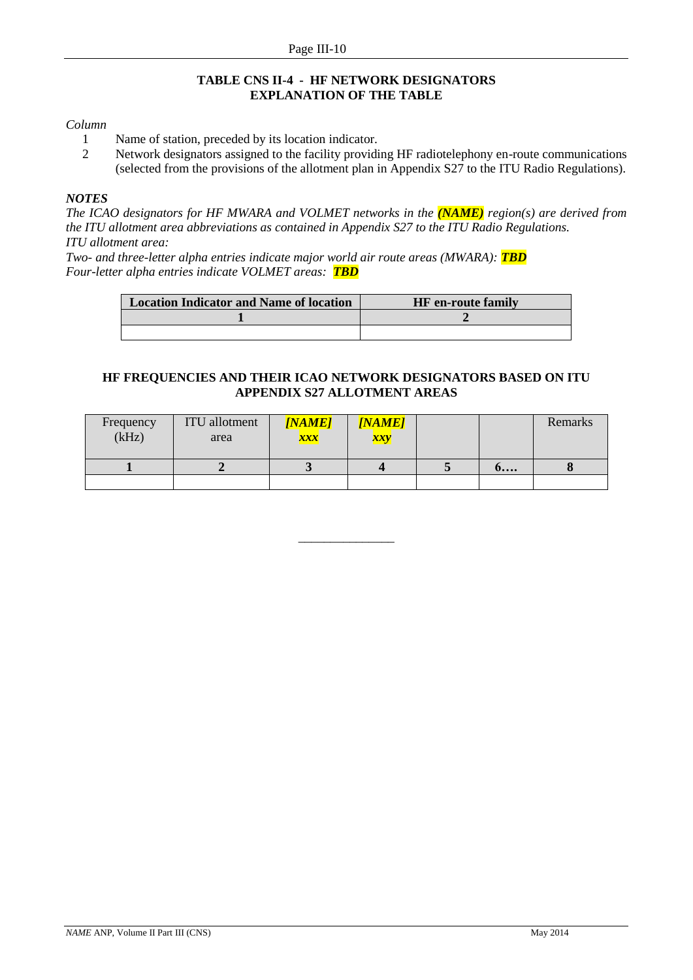# **TABLE CNS II-4 - HF NETWORK DESIGNATORS EXPLANATION OF THE TABLE**

### *Column*

- 1 Name of station, preceded by its location indicator.
- 2 Network designators assigned to the facility providing HF radiotelephony en-route communications (selected from the provisions of the allotment plan in Appendix S27 to the ITU Radio Regulations).

# *NOTES*

*The ICAO designators for HF MWARA and VOLMET networks in the (NAME) region(s) are derived from the ITU allotment area abbreviations as contained in Appendix S27 to the ITU Radio Regulations. ITU allotment area:*

*Two- and three-letter alpha entries indicate major world air route areas (MWARA): TBD Four-letter alpha entries indicate VOLMET areas: TBD*

| <b>Location Indicator and Name of location</b> | <b>HF</b> en-route family |
|------------------------------------------------|---------------------------|
|                                                |                           |
|                                                |                           |

# **HF FREQUENCIES AND THEIR ICAO NETWORK DESIGNATORS BASED ON ITU APPENDIX S27 ALLOTMENT AREAS**

| Frequency<br>(kHz) | <b>ITU</b> allotment<br>area | <b>[NAME]</b><br>xxx | <b>[NAME]</b><br>xxy |                    | Remarks |
|--------------------|------------------------------|----------------------|----------------------|--------------------|---------|
|                    |                              |                      |                      | $\mathbf{0} \dots$ |         |
|                    |                              |                      |                      |                    |         |

\_\_\_\_\_\_\_\_\_\_\_\_\_\_\_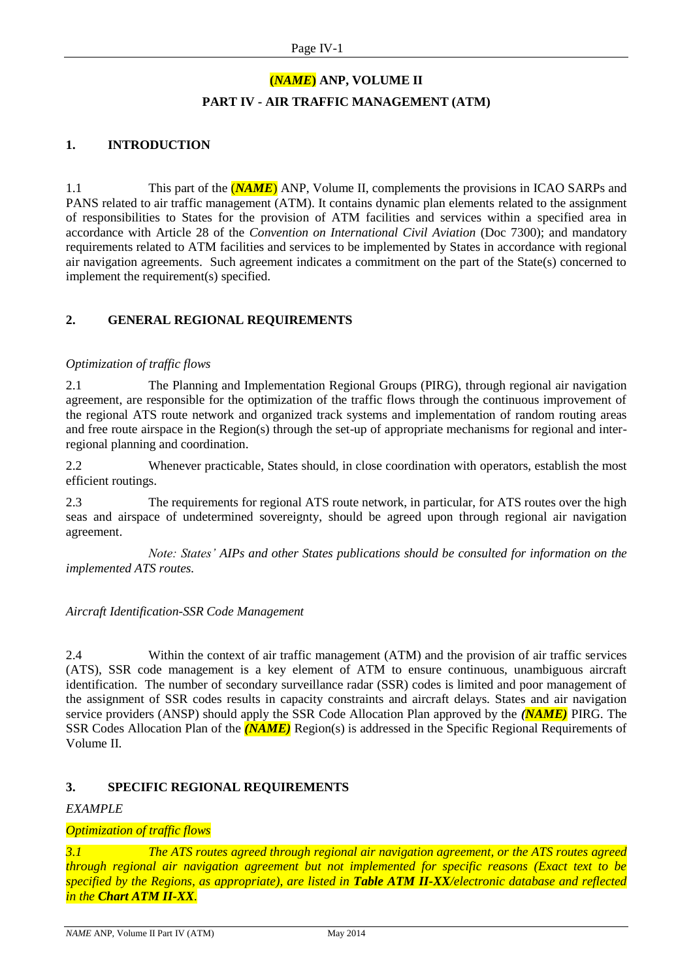# **(***NAME***) ANP, VOLUME II PART IV - AIR TRAFFIC MANAGEMENT (ATM)**

# **1. INTRODUCTION**

1.1 This part of the **(***NAME*) ANP, Volume II, complements the provisions in ICAO SARPs and PANS related to air traffic management (ATM). It contains dynamic plan elements related to the assignment of responsibilities to States for the provision of ATM facilities and services within a specified area in accordance with Article 28 of the *Convention on International Civil Aviation* (Doc 7300); and mandatory requirements related to ATM facilities and services to be implemented by States in accordance with regional air navigation agreements. Such agreement indicates a commitment on the part of the State(s) concerned to implement the requirement(s) specified.

# **2. GENERAL REGIONAL REQUIREMENTS**

# *Optimization of traffic flows*

2.1 The Planning and Implementation Regional Groups (PIRG), through regional air navigation agreement, are responsible for the optimization of the traffic flows through the continuous improvement of the regional ATS route network and organized track systems and implementation of random routing areas and free route airspace in the Region(s) through the set-up of appropriate mechanisms for regional and interregional planning and coordination.

2.2 Whenever practicable, States should, in close coordination with operators, establish the most efficient routings.

2.3 The requirements for regional ATS route network, in particular, for ATS routes over the high seas and airspace of undetermined sovereignty, should be agreed upon through regional air navigation agreement.

*Note: States' AIPs and other States publications should be consulted for information on the implemented ATS routes.* 

### *Aircraft Identification-SSR Code Management*

2.4 Within the context of air traffic management (ATM) and the provision of air traffic services (ATS), SSR code management is a key element of ATM to ensure continuous, unambiguous aircraft identification. The number of secondary surveillance radar (SSR) codes is limited and poor management of the assignment of SSR codes results in capacity constraints and aircraft delays. States and air navigation service providers (ANSP) should apply the SSR Code Allocation Plan approved by the *(NAME)* PIRG. The SSR Codes Allocation Plan of the *(NAME)* Region(s) is addressed in the Specific Regional Requirements of Volume II.

### **3. SPECIFIC REGIONAL REQUIREMENTS**

### *EXAMPLE*

### *Optimization of traffic flows*

*3.1 The ATS routes agreed through regional air navigation agreement, or the ATS routes agreed through regional air navigation agreement but not implemented for specific reasons (Exact text to be specified by the Regions, as appropriate), are listed in Table ATM II-XX/electronic database and reflected in the Chart ATM II-XX.*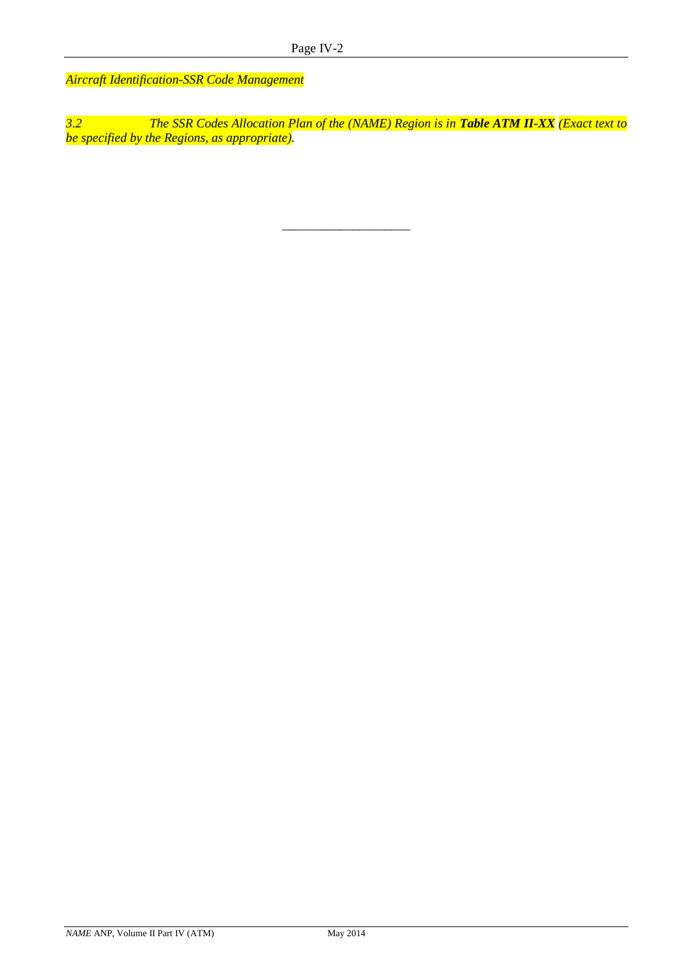*Aircraft Identification-SSR Code Management*

*3.2 The SSR Codes Allocation Plan of the (NAME) Region is in Table ATM II-XX (Exact text to be specified by the Regions, as appropriate).*

\_\_\_\_\_\_\_\_\_\_\_\_\_\_\_\_\_\_\_\_

*NAME* ANP, Volume II Part IV (ATM) May 2014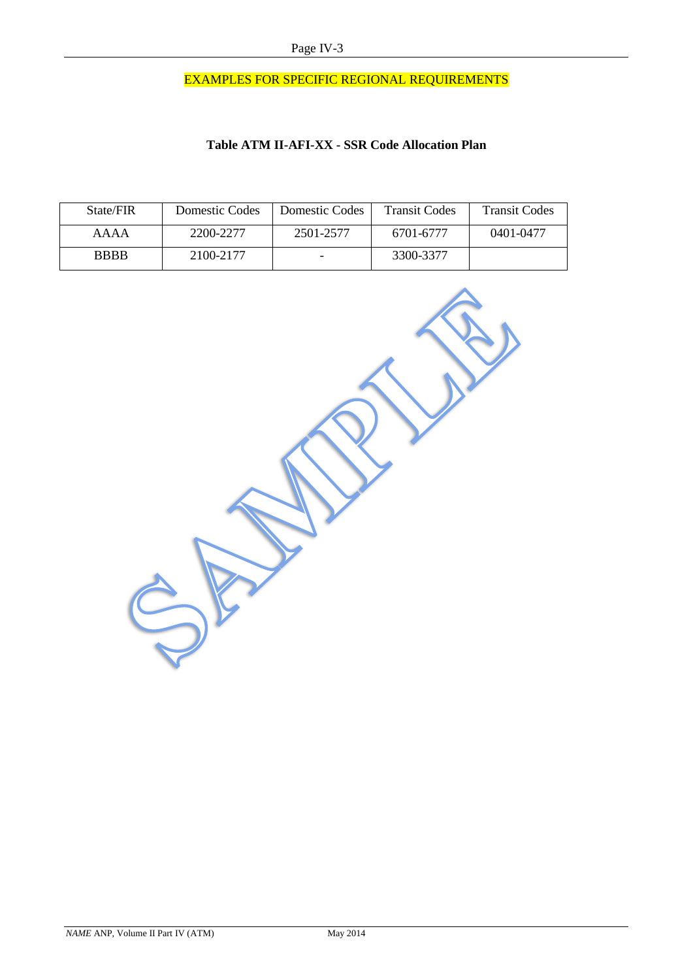# EXAMPLES FOR SPECIFIC REGIONAL REQUIREMENTS

# **Table ATM II-AFI-XX - SSR Code Allocation Plan**

| State/FIR   | Domestic Codes | Domestic Codes | <b>Transit Codes</b> | <b>Transit Codes</b> |
|-------------|----------------|----------------|----------------------|----------------------|
| AAAA        | 2200-2277      | 2501-2577      | 6701-6777            | 0401-0477            |
| <b>BBBB</b> | 2100-2177      |                | 3300-3377            |                      |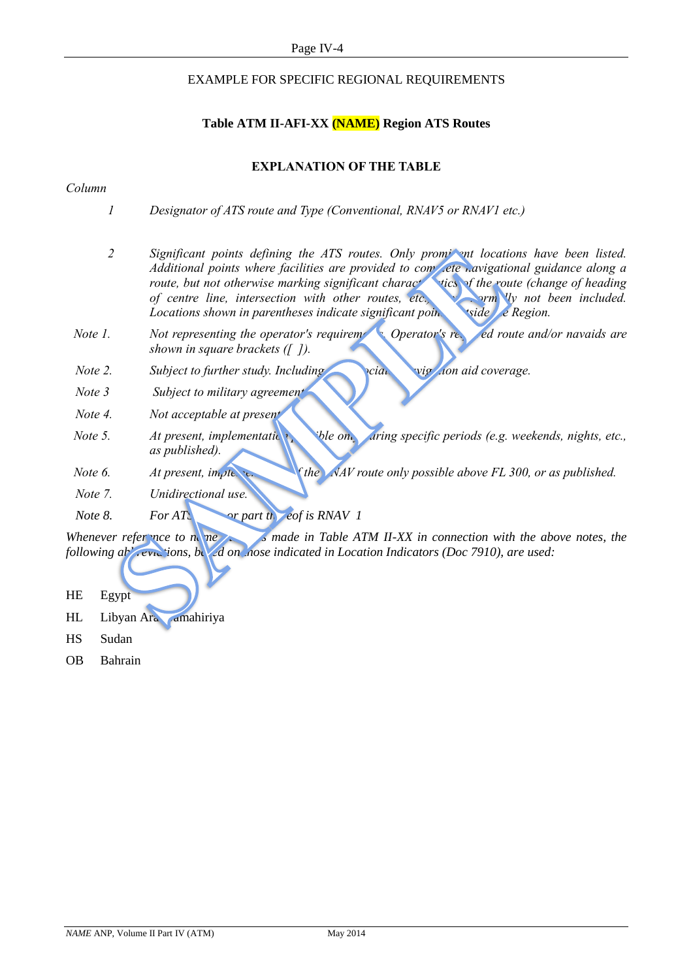# EXAMPLE FOR SPECIFIC REGIONAL REQUIREMENTS

# **Table ATM II-AFI-XX (NAME) Region ATS Routes**

# **EXPLANATION OF THE TABLE**

### *Column*

- *1 Designator of ATS route and Type (Conventional, RNAV5 or RNAV1 etc.)*
- 2 *Significant points defining the ATS routes. Only prominent locations have been listed. Additional points where facilities are provided to complete navigational guidance along a route, but not otherwise marking significant characteristics of the route (change of heading route) of centre line, intersection with other routes, etc.* **have not very limitation included.** *Locations shown in parentheses indicate significant poin.* strate the Region.
- *Note 1. Not representing the operator's requirement of Operator's requirement is not early ed route and/or navaids are shown in square brackets ([ ]).*
- *Note 2. Subject to further study. Including the action aid coverage.*
- *Note 3 Subject to military agreement.*
- *Note 4. Not acceptable at present.*
- *Note 5. At present, implementation ble only during specific periods (e.g. weekends, nights, etc.,*  $\frac{1}{2}$  *aring specific periods (e.g. weekends, nights, etc.,*  $\frac{1}{2}$ *as published).*
- *Note 6. At present, implementation of the NAV route only possible above FL 300, or as published.*
- *Note 7. Unidirectional use.*
- *Note 8. For ATS or part thereof is RNAV 1*

*Whenever reference to name S made in Table ATM II-XX in connection with the above notes, the following abbreviations, based on nose indicated in Location Indicators (Doc 7910), are used:* 

- HE Egypt
- HL Libyan Araba Amahiriya
- HS Sudan
- OB Bahrain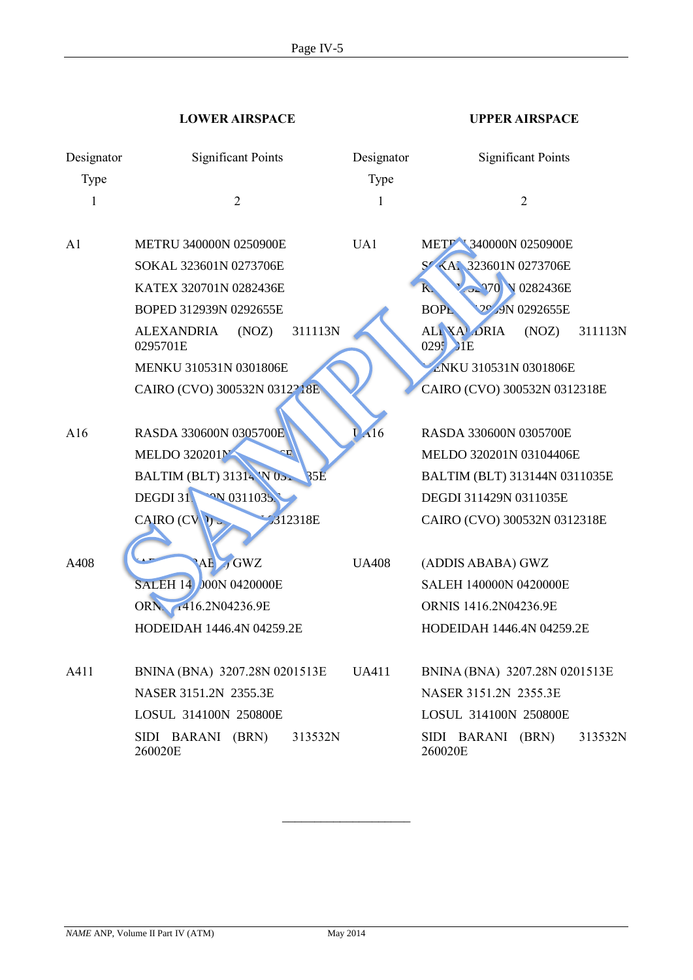**LOWER AIRSPACE UPPER AIRSPACE**

| Designator<br>Type | <b>Significant Points</b>                         | Designator<br>Type | <b>Significant Points</b>                  |
|--------------------|---------------------------------------------------|--------------------|--------------------------------------------|
| 1                  | $\overline{2}$                                    | 1                  | $\overline{2}$                             |
| A <sub>1</sub>     | <b>METRU 340000N 0250900E</b>                     | UA1                | METT 340000N 0250900E                      |
|                    | SOKAL 323601N 0273706E                            |                    | S KAI 323601N 0273706E                     |
|                    | KATEX 320701N 0282436E                            |                    | 32970 V 0282436E<br>$K_{\alpha}$           |
|                    | BOPED 312939N 0292655E                            |                    | <b>PC 9N 0292655E</b><br><b>BOPL</b>       |
|                    | 311113N<br><b>ALEXANDRIA</b><br>(NOZ)<br>0295701E |                    | ALI XA DRIA<br>(NOZ)<br>311113N<br>0295 HE |
|                    | MENKU 310531N 0301806E                            |                    | ENKU 310531N 0301806E                      |
|                    | CAIRO (CVO) 300532N 0312218E                      |                    | CAIRO (CVO) 300532N 0312318E               |
|                    |                                                   |                    |                                            |
| A16                | RASDA 330600N 0305700E                            | A16                | RASDA 330600N 0305700E                     |
|                    | MELDO 320201N<br>Œ,                               |                    | MELDO 320201N 03104406E                    |
|                    | BALTIM (BLT) 31314 'N 05.<br><b>35E</b>           |                    | BALTIM (BLT) 313144N 0311035E              |
|                    | DEGDI 31<br><sup>O</sup> N 0311035.               |                    | DEGDI 311429N 0311035E                     |
|                    | CAIRO (CVV)<br>312318E                            |                    | CAIRO (CVO) 300532N 0312318E               |
| A408               | $AE$ , GWZ                                        | <b>UA408</b>       | (ADDIS ABABA) GWZ                          |
|                    | <b>SALEH 14 000N 0420000E</b>                     |                    | SALEH 140000N 0420000E                     |
|                    | ORN. 1416.2N04236.9E                              |                    | ORNIS 1416.2N04236.9E                      |
|                    | HODEIDAH 1446.4N 04259.2E                         |                    | HODEIDAH 1446.4N 04259.2E                  |
|                    |                                                   |                    |                                            |
| A411               | BNINA (BNA) 3207.28N 0201513E                     | <b>UA411</b>       | BNINA (BNA) 3207.28N 0201513E              |
|                    | NASER 3151.2N 2355.3E                             |                    | NASER 3151.2N 2355.3E                      |
|                    | LOSUL 314100N 250800E                             |                    | LOSUL 314100N 250800E                      |
|                    | SIDI BARANI (BRN)<br>313532N<br>260020E           |                    | SIDI BARANI (BRN)<br>313532N<br>260020E    |

\_\_\_\_\_\_\_\_\_\_\_\_\_\_\_\_\_\_\_\_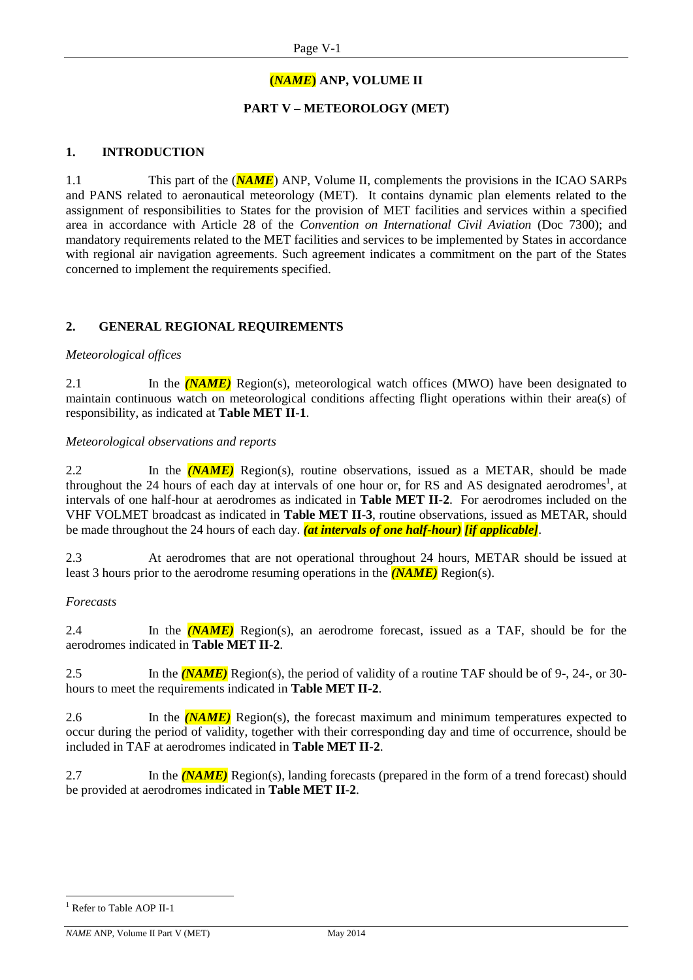# **(***NAME***) ANP, VOLUME II**

# **PART V – METEOROLOGY (MET)**

# **1. INTRODUCTION**

1.1 This part of the (*NAME*) ANP, Volume II, complements the provisions in the ICAO SARPs and PANS related to aeronautical meteorology (MET). It contains dynamic plan elements related to the assignment of responsibilities to States for the provision of MET facilities and services within a specified area in accordance with Article 28 of the *Convention on International Civil Aviation* (Doc 7300); and mandatory requirements related to the MET facilities and services to be implemented by States in accordance with regional air navigation agreements. Such agreement indicates a commitment on the part of the States concerned to implement the requirements specified.

# **2. GENERAL REGIONAL REQUIREMENTS**

### *Meteorological offices*

2.1 In the *(NAME)* Region(s), meteorological watch offices (MWO) have been designated to maintain continuous watch on meteorological conditions affecting flight operations within their area(s) of responsibility, as indicated at **Table MET II-1**.

### *Meteorological observations and reports*

2.2 In the *(NAME)* Region(s), routine observations, issued as a METAR, should be made throughout the 24 hours of each day at intervals of one hour or, for RS and AS designated aerodromes<sup>1</sup>, at intervals of one half-hour at aerodromes as indicated in **Table MET II-2**. For aerodromes included on the VHF VOLMET broadcast as indicated in **Table MET II-3**, routine observations, issued as METAR, should be made throughout the 24 hours of each day. *(at intervals of one half-hour) [if applicable]*.

2.3 At aerodromes that are not operational throughout 24 hours, METAR should be issued at least 3 hours prior to the aerodrome resuming operations in the *(NAME)* Region(s).

### *Forecasts*

2.4 In the *(NAME)* Region(s), an aerodrome forecast, issued as a TAF, should be for the aerodromes indicated in **Table MET II-2**.

2.5 In the *(NAME)* Region(s), the period of validity of a routine TAF should be of 9-, 24-, or 30 hours to meet the requirements indicated in **Table MET II-2**.

2.6 In the *(NAME)* Region(s), the forecast maximum and minimum temperatures expected to occur during the period of validity, together with their corresponding day and time of occurrence, should be included in TAF at aerodromes indicated in **Table MET II-2**.

2.7 In the *(NAME)* Region(s), landing forecasts (prepared in the form of a trend forecast) should be provided at aerodromes indicated in **Table MET II-2**.

-

<sup>&</sup>lt;sup>1</sup> Refer to Table AOP II-1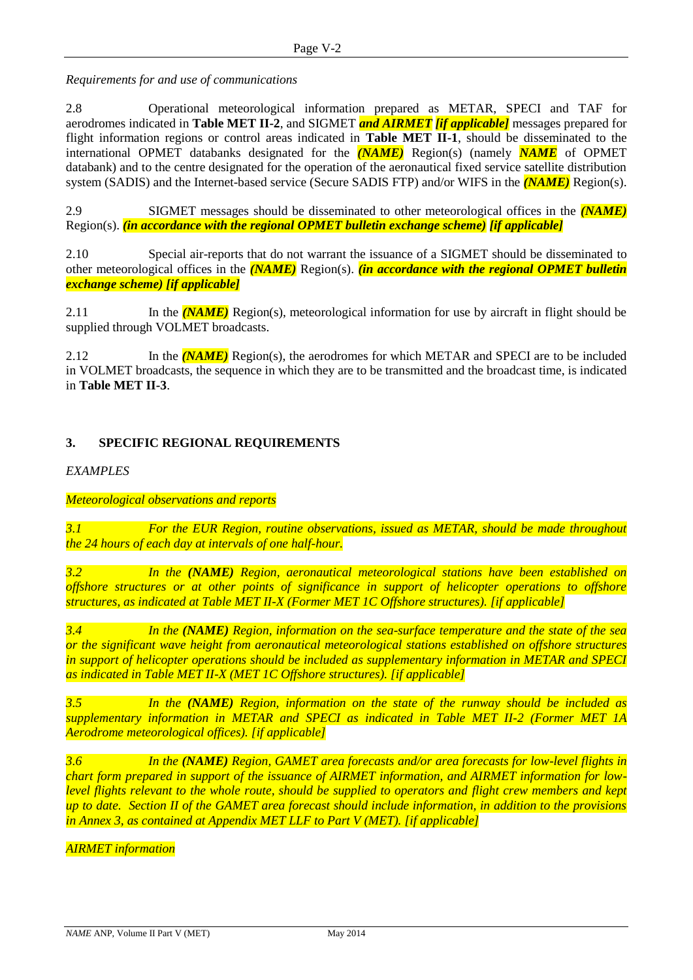*Requirements for and use of communications*

2.8 Operational meteorological information prepared as METAR, SPECI and TAF for aerodromes indicated in **Table MET II-2**, and SIGMET *and AIRMET [if applicable]* messages prepared for flight information regions or control areas indicated in **Table MET II-1**, should be disseminated to the international OPMET databanks designated for the *(NAME)* Region(s) (namely *NAME* of OPMET databank) and to the centre designated for the operation of the aeronautical fixed service satellite distribution system (SADIS) and the Internet-based service (Secure SADIS FTP) and/or WIFS in the *(NAME)* Region(s).

2.9 SIGMET messages should be disseminated to other meteorological offices in the *(NAME)* Region(s). *(in accordance with the regional OPMET bulletin exchange scheme) [if applicable]*

2.10 Special air-reports that do not warrant the issuance of a SIGMET should be disseminated to other meteorological offices in the *(NAME)* Region(s). *(in accordance with the regional OPMET bulletin exchange scheme) [if applicable]*

2.11 In the *(NAME)* Region(s), meteorological information for use by aircraft in flight should be supplied through VOLMET broadcasts.

2.12 In the *(NAME)* Region(s), the aerodromes for which METAR and SPECI are to be included in VOLMET broadcasts, the sequence in which they are to be transmitted and the broadcast time, is indicated in **Table MET II-3**.

# **3. SPECIFIC REGIONAL REQUIREMENTS**

*EXAMPLES*

### *Meteorological observations and reports*

*3.1 For the EUR Region, routine observations, issued as METAR, should be made throughout the 24 hours of each day at intervals of one half-hour.*

*3.2 In the (NAME) Region, aeronautical meteorological stations have been established on offshore structures or at other points of significance in support of helicopter operations to offshore structures, as indicated at Table MET II-X (Former MET 1C Offshore structures). [if applicable]*

*3.4 In the (NAME) Region, information on the sea-surface temperature and the state of the sea or the significant wave height from aeronautical meteorological stations established on offshore structures in support of helicopter operations should be included as supplementary information in METAR and SPECI as indicated in Table MET II-X (MET 1C Offshore structures). [if applicable]*

*3.5 In the (NAME) Region, information on the state of the runway should be included as supplementary information in METAR and SPECI as indicated in Table MET II-2 (Former MET 1A Aerodrome meteorological offices). [if applicable]*

*3.6 In the (NAME) Region, GAMET area forecasts and/or area forecasts for low-level flights in chart form prepared in support of the issuance of AIRMET information, and AIRMET information for lowlevel flights relevant to the whole route, should be supplied to operators and flight crew members and kept up to date. Section II of the GAMET area forecast should include information, in addition to the provisions in Annex 3, as contained at Appendix MET LLF to Part V (MET). [if applicable]*

*AIRMET information*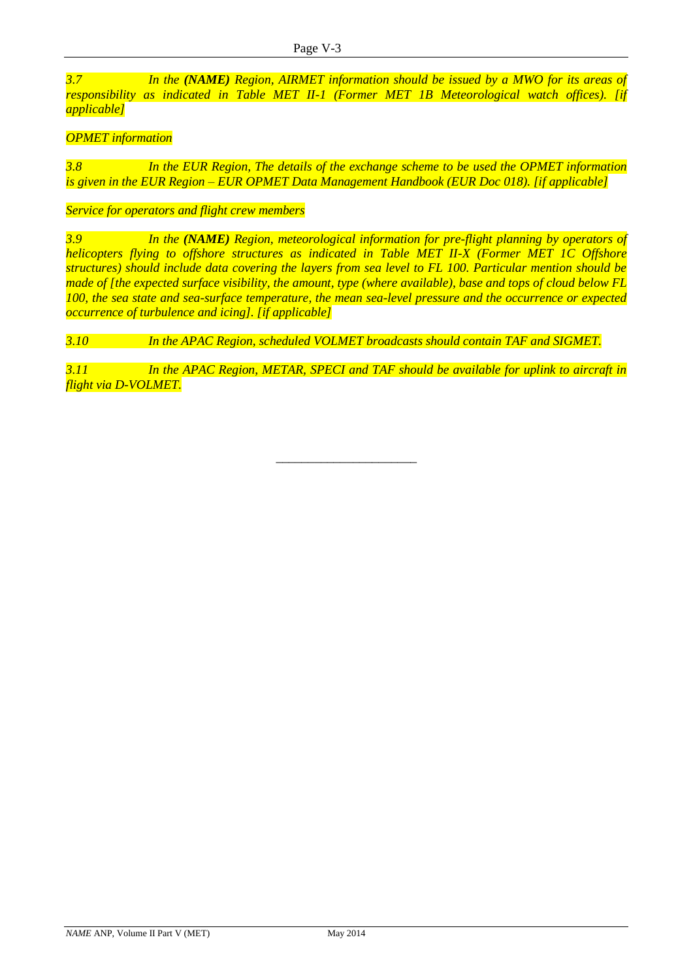*3.7 In the (NAME) Region, AIRMET information should be issued by a MWO for its areas of responsibility as indicated in Table MET II-1 (Former MET 1B Meteorological watch offices). [if applicable]*

# *OPMET information*

*3.8 In the EUR Region, The details of the exchange scheme to be used the OPMET information is given in the EUR Region – EUR OPMET Data Management Handbook (EUR Doc 018). [if applicable]*

*Service for operators and flight crew members*

*3.9 In the (NAME) Region, meteorological information for pre-flight planning by operators of helicopters flying to offshore structures as indicated in Table MET II-X (Former MET 1C Offshore structures) should include data covering the layers from sea level to FL 100. Particular mention should be made of [the expected surface visibility, the amount, type (where available), base and tops of cloud below FL 100, the sea state and sea-surface temperature, the mean sea-level pressure and the occurrence or expected occurrence of turbulence and icing]. [if applicable]*

*3.10 In the APAC Region, scheduled VOLMET broadcasts should contain TAF and SIGMET.*

*3.11 In the APAC Region, METAR, SPECI and TAF should be available for uplink to aircraft in flight via D-VOLMET.*

\_\_\_\_\_\_\_\_\_\_\_\_\_\_\_\_\_\_\_\_\_\_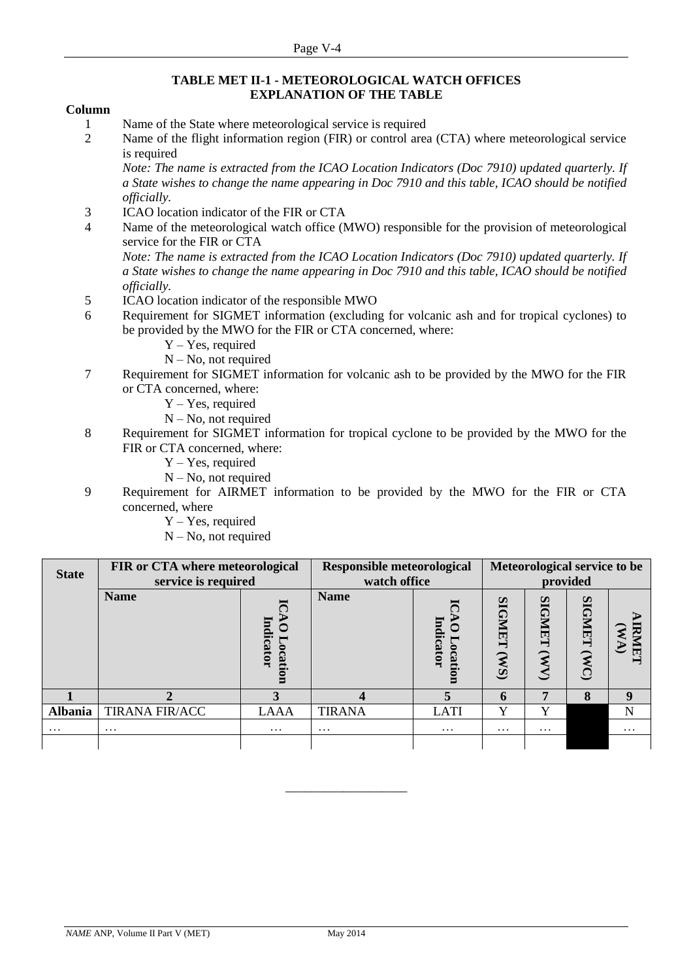### **TABLE MET II-1 - METEOROLOGICAL WATCH OFFICES EXPLANATION OF THE TABLE**

### **Column**

- 1 Name of the State where meteorological service is required
- 2 Name of the flight information region (FIR) or control area (CTA) where meteorological service is required

*Note: The name is extracted from the ICAO Location Indicators (Doc 7910) updated quarterly. If a State wishes to change the name appearing in Doc 7910 and this table, ICAO should be notified officially.*

- 3 ICAO location indicator of the FIR or CTA
- 4 Name of the meteorological watch office (MWO) responsible for the provision of meteorological service for the FIR or CTA

*Note: The name is extracted from the ICAO Location Indicators (Doc 7910) updated quarterly. If a State wishes to change the name appearing in Doc 7910 and this table, ICAO should be notified officially.*

- 5 ICAO location indicator of the responsible MWO
- 6 Requirement for SIGMET information (excluding for volcanic ash and for tropical cyclones) to be provided by the MWO for the FIR or CTA concerned, where:
	- Y Yes, required
	- $N No$ , not required
- 7 Requirement for SIGMET information for volcanic ash to be provided by the MWO for the FIR or CTA concerned, where:
	- Y Yes, required
	- N No, not required
- 8 Requirement for SIGMET information for tropical cyclone to be provided by the MWO for the FIR or CTA concerned, where:
	- Y Yes, required
	- N No, not required
- 9 Requirement for AIRMET information to be provided by the MWO for the FIR or CTA concerned, where
	- Y Yes, required
	- $N No$ , not required

| <b>State</b>   | FIR or CTA where meteorological<br>service is required | <b>Responsible meteorological</b><br>watch office | Meteorological service to be<br>provided |                      |                                    |                                     |                       |          |
|----------------|--------------------------------------------------------|---------------------------------------------------|------------------------------------------|----------------------|------------------------------------|-------------------------------------|-----------------------|----------|
|                | <b>Name</b>                                            | Indicator<br>ocati                                | <b>Name</b>                              | Indicator<br>ocation | <b>SIGMET</b><br>(S <sub>M</sub> ) | <b>SIGMET</b><br>$\mathbf{\hat{M}}$ | <b>SIGNET</b><br>(MC) | Ę        |
|                |                                                        |                                                   |                                          |                      | 6                                  | 7                                   | 8                     | 9        |
| <b>Albania</b> | <b>TIRANA FIR/ACC</b>                                  | LAAA                                              | <b>TIRANA</b>                            | <b>LATI</b>          | Y                                  | Y                                   |                       | N        |
| $\ddotsc$      | $\cdots$                                               | $\cdots$                                          | $\ddotsc$                                | $\cdots$             | $\cdots$                           | $\cdots$                            |                       | $\cdots$ |
|                |                                                        |                                                   |                                          |                      |                                    |                                     |                       |          |

\_\_\_\_\_\_\_\_\_\_\_\_\_\_\_\_\_\_\_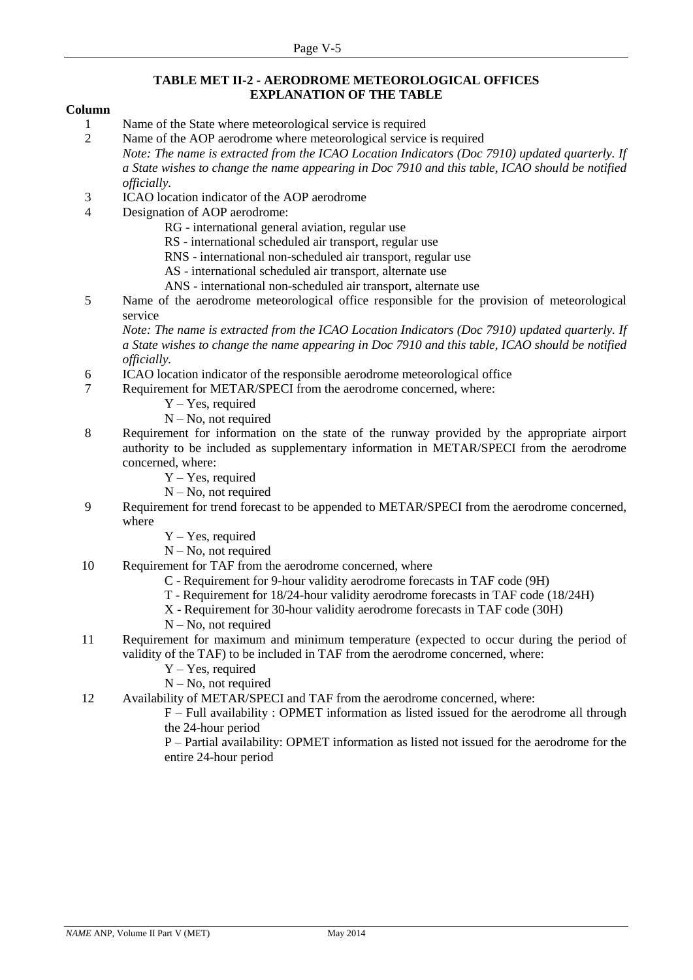### **TABLE MET II-2 - AERODROME METEOROLOGICAL OFFICES EXPLANATION OF THE TABLE**

### **Column**

1 Name of the State where meteorological service is required

2 Name of the AOP aerodrome where meteorological service is required *Note: The name is extracted from the ICAO Location Indicators (Doc 7910) updated quarterly. If a State wishes to change the name appearing in Doc 7910 and this table, ICAO should be notified officially.*

- 3 ICAO location indicator of the AOP aerodrome
- 4 Designation of AOP aerodrome:

RG - international general aviation, regular use

RS - international scheduled air transport, regular use

RNS - international non-scheduled air transport, regular use

- AS international scheduled air transport, alternate use
- ANS international non-scheduled air transport, alternate use
- 5 Name of the aerodrome meteorological office responsible for the provision of meteorological service

*Note: The name is extracted from the ICAO Location Indicators (Doc 7910) updated quarterly. If a State wishes to change the name appearing in Doc 7910 and this table, ICAO should be notified officially.*

- 6 ICAO location indicator of the responsible aerodrome meteorological office
- 7 Requirement for METAR/SPECI from the aerodrome concerned, where:
	- Y Yes, required
	- $N No$ , not required
- 8 Requirement for information on the state of the runway provided by the appropriate airport authority to be included as supplementary information in METAR/SPECI from the aerodrome concerned, where:
	- Y Yes, required
	- N No, not required
- 9 Requirement for trend forecast to be appended to METAR/SPECI from the aerodrome concerned, where
	- Y Yes, required
	- N No, not required
- 10 Requirement for TAF from the aerodrome concerned, where
	- C Requirement for 9-hour validity aerodrome forecasts in TAF code (9H)
	- T Requirement for 18/24-hour validity aerodrome forecasts in TAF code (18/24H)
	- X Requirement for 30-hour validity aerodrome forecasts in TAF code (30H)
	- N No, not required
- 11 Requirement for maximum and minimum temperature (expected to occur during the period of validity of the TAF) to be included in TAF from the aerodrome concerned, where:
	- Y Yes, required
	- N No, not required
- 12 Availability of METAR/SPECI and TAF from the aerodrome concerned, where:

F – Full availability : OPMET information as listed issued for the aerodrome all through the 24-hour period

P – Partial availability: OPMET information as listed not issued for the aerodrome for the entire 24-hour period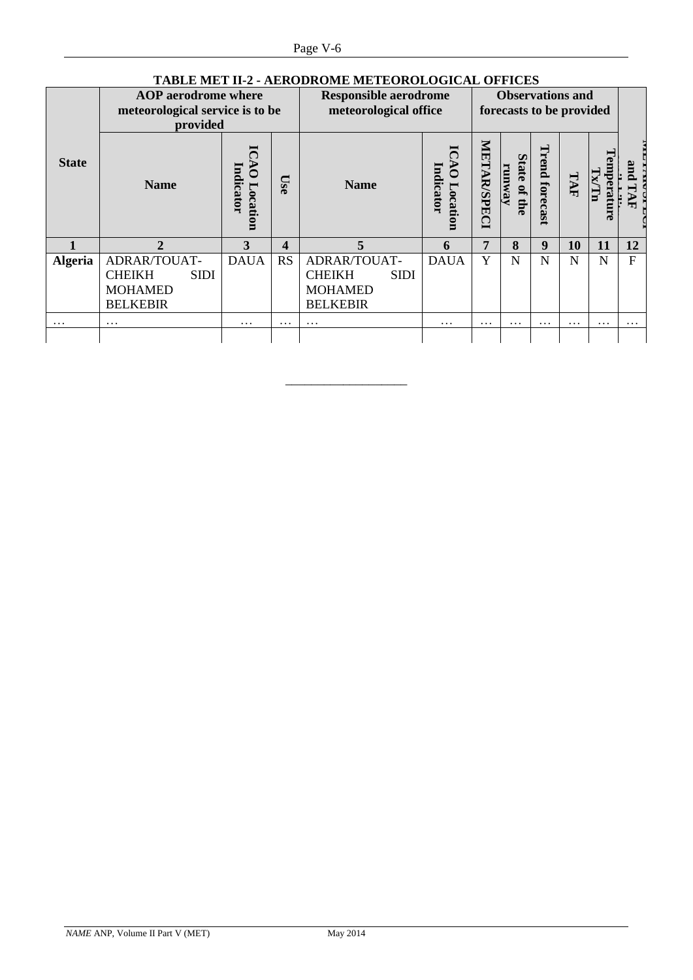|                | TABLE MET 11-2 - AERODROME METEOROLOGICAL OFFICES                         |                       |           |                                                       |                                   |                    |                                                     |                |          |                                 |          |
|----------------|---------------------------------------------------------------------------|-----------------------|-----------|-------------------------------------------------------|-----------------------------------|--------------------|-----------------------------------------------------|----------------|----------|---------------------------------|----------|
|                | <b>AOP</b> aerodrome where<br>meteorological service is to be<br>provided |                       |           | <b>Responsible aerodrome</b><br>meteorological office |                                   |                    | <b>Observations and</b><br>forecasts to be provided |                |          |                                 |          |
| <b>State</b>   | <b>Name</b>                                                               | Indicator<br>Location | Use       | <b>Name</b>                                           | $\delta$<br>Indicator<br>Location | <b>METAR/SPECI</b> | <b>State</b><br>runway<br>of the                    | Trend forecast | TAF      | <b><i><u>Femperatur</u></i></b> | pue<br>₹ |
|                | $\overline{2}$                                                            | 3                     | 4         | 5                                                     | 6                                 | 7                  | 8                                                   | 9              | 10       | 11                              | 12       |
| <b>Algeria</b> | ADRAR/TOUAT-                                                              | <b>DAUA</b>           | <b>RS</b> | ADRAR/TOUAT-                                          | <b>DAUA</b>                       | Y                  | N                                                   | N              | N        | N                               | F        |
|                | <b>CHEIKH</b><br><b>SIDI</b>                                              |                       |           | <b>CHEIKH</b><br><b>SIDI</b>                          |                                   |                    |                                                     |                |          |                                 |          |
|                | <b>MOHAMED</b>                                                            |                       |           | <b>MOHAMED</b>                                        |                                   |                    |                                                     |                |          |                                 |          |
|                | <b>BELKEBIR</b>                                                           |                       |           | <b>BELKEBIR</b>                                       |                                   |                    |                                                     |                |          |                                 |          |
| $\cdots$       | $\cdots$                                                                  | $\cdots$              | .         | $\cdots$                                              | $\cdots$                          | $\cdots$           | $\cdots$                                            | .              | $\cdots$ | .                               | .        |
|                |                                                                           |                       |           |                                                       |                                   |                    |                                                     |                |          |                                 |          |

\_\_\_\_\_\_\_\_\_\_\_\_\_\_\_\_\_\_\_

# **TABLE MET II-2 - AERODROME METEOROLOGICAL OFFICES**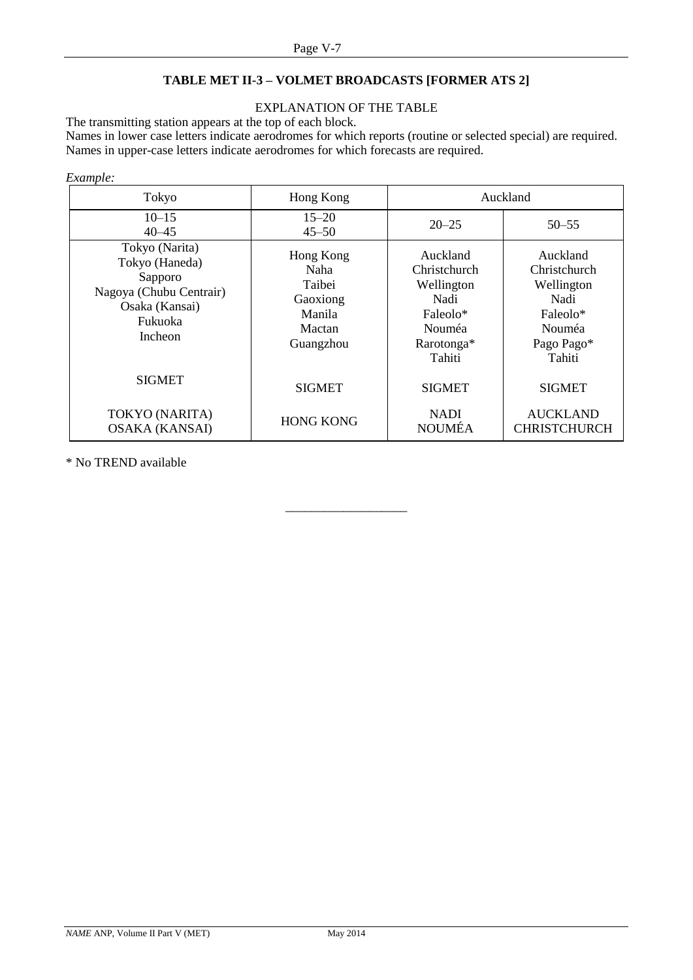# **TABLE MET II-3 – VOLMET BROADCASTS [FORMER ATS 2]**

# EXPLANATION OF THE TABLE

The transmitting station appears at the top of each block.

Names in lower case letters indicate aerodromes for which reports (routine or selected special) are required. Names in upper-case letters indicate aerodromes for which forecasts are required.

### *Example:*

| Tokyo                                                                                                                 | Hong Kong                                                                |                              | Auckland                                                                                            |  |
|-----------------------------------------------------------------------------------------------------------------------|--------------------------------------------------------------------------|------------------------------|-----------------------------------------------------------------------------------------------------|--|
| $10 - 15$<br>$40 - 45$                                                                                                | $15 - 20$<br>$45 - 50$                                                   | $20 - 25$                    | $50 - 55$                                                                                           |  |
| Tokyo (Narita)<br>Tokyo (Haneda)<br>Sapporo<br>Nagoya (Chubu Centrair)<br>Osaka (Kansai)<br>Fukuoka<br><b>Incheon</b> | Hong Kong<br>Naha<br>Taibei<br>Gaoxiong<br>Manila<br>Mactan<br>Guangzhou |                              | Auckland<br>Christchurch<br>Wellington<br>Nadi<br>Faleolo*<br><b>Nouméa</b><br>Pago Pago*<br>Tahiti |  |
| <b>SIGMET</b>                                                                                                         | <b>SIGMET</b>                                                            | <b>SIGMET</b>                | <b>SIGMET</b>                                                                                       |  |
| TOKYO (NARITA)<br><b>OSAKA (KANSAI)</b>                                                                               | <b>HONG KONG</b>                                                         | <b>NADI</b><br><b>NOUMÉA</b> | <b>AUCKLAND</b><br><b>CHRISTCHURCH</b>                                                              |  |

\_\_\_\_\_\_\_\_\_\_\_\_\_\_\_\_\_\_\_

\* No TREND available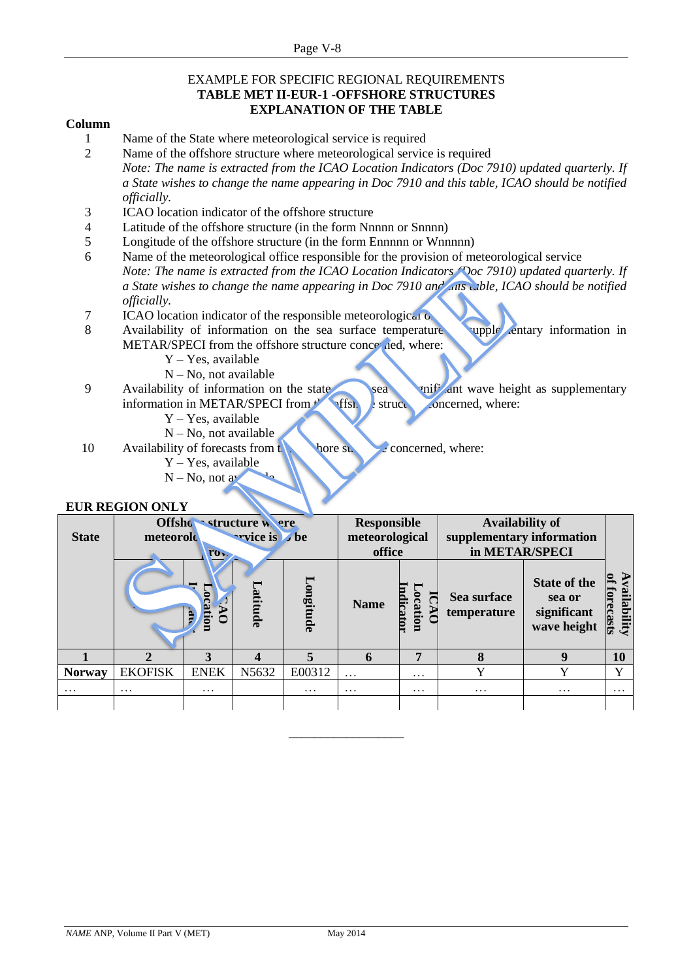### EXAMPLE FOR SPECIFIC REGIONAL REQUIREMENTS **TABLE MET II-EUR-1 -OFFSHORE STRUCTURES EXPLANATION OF THE TABLE**

## **Column**

- 1 Name of the State where meteorological service is required
- 2 Name of the offshore structure where meteorological service is required *Note: The name is extracted from the ICAO Location Indicators (Doc 7910) updated quarterly. If a State wishes to change the name appearing in Doc 7910 and this table, ICAO should be notified officially.*
- 3 ICAO location indicator of the offshore structure
- 4 Latitude of the offshore structure (in the form Nnnnn or Snnnn)
- 5 Longitude of the offshore structure (in the form Ennnnn or Wnnnnn)
- 6 Name of the meteorological office responsible for the provision of meteorological service *Note: The name is extracted from the ICAO Location Indicators (Doc 7910) updated quarterly. If a State wishes to change the name appearing in Doc 7910 and all also wible, ICAO should be notified officially.*
- $7 \overline{ICAO}$  location indicator of the responsible meteorological  $\overline{O}$
- 8 Availability of information on the sea surface temperature as supplementary information in METAR/SPECI from the offshore structure concerned, where:
	- Y Yes, available
	- N No, not available
- 9 Availability of information on the state sea or sea or significant wave height as supplementary information in METAR/SPECI from  $\mathbf{r}$  offshort structure concerned, where:
	- Y Yes, available
	- $N No$ , not available
- 10 Availability of forecasts from the other structure concerned, where:
	- Y Yes, available  $N - No$ , not av

# **EUR REGION ONLY**

| <b>State</b>  | Offsho structure were<br>wrice is be<br>meteorolo<br>ro <sub>v</sub> |             |         |                          | <b>Responsible</b><br>meteorological<br>office |                    |                            | <b>Availability of</b><br>supplementary information<br>in METAR/SPECI |                       |
|---------------|----------------------------------------------------------------------|-------------|---------|--------------------------|------------------------------------------------|--------------------|----------------------------|-----------------------------------------------------------------------|-----------------------|
|               |                                                                      | moine:      | atitude | Longitude                | <b>Name</b>                                    | dicator<br>ocation | Sea surface<br>temperature | <b>State of the</b><br>sea or<br>significant<br>wave height           | vailability<br>ecasts |
|               |                                                                      | 3           |         | $\overline{\phantom{a}}$ | 6                                              | 7                  | 8                          | 9                                                                     | 10                    |
| <b>Norway</b> | <b>EKOFISK</b>                                                       | <b>ENEK</b> | N5632   | E00312                   | $\cdots$                                       | $\cdots$           |                            | $\mathbf v$                                                           | $\mathbf{v}$          |
| $\cdots$      | $\cdots$                                                             | $\cdots$    |         | $\cdots$                 | $\cdots$                                       | $\cdots$           | $\cdots$                   | $\cdots$                                                              | $\cdots$              |
|               |                                                                      |             |         |                          |                                                |                    |                            |                                                                       |                       |

\_\_\_\_\_\_\_\_\_\_\_\_\_\_\_\_\_\_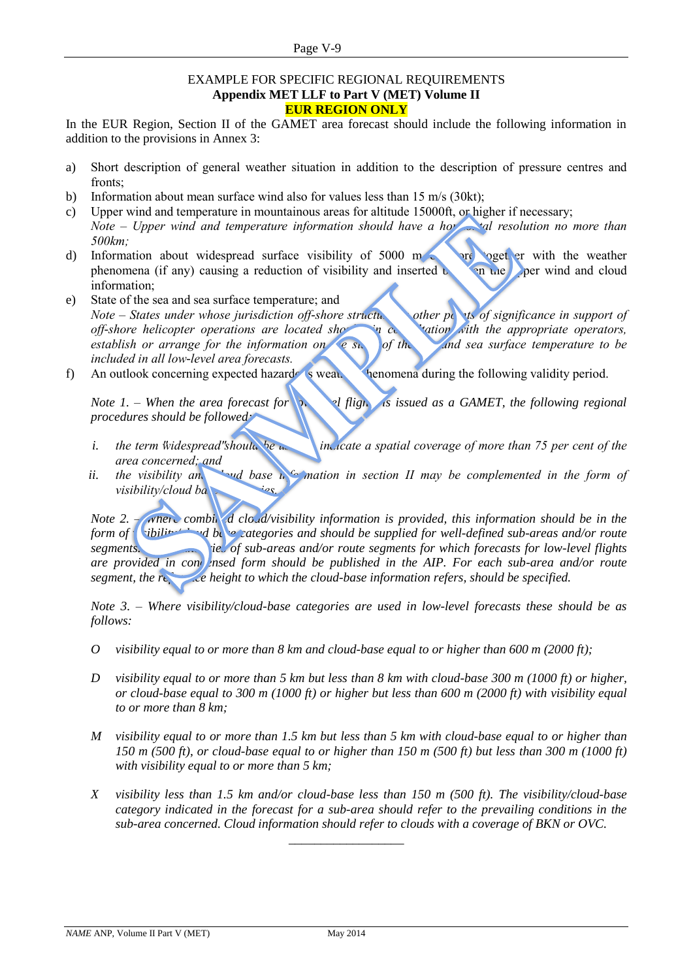### EXAMPLE FOR SPECIFIC REGIONAL REQUIREMENTS **Appendix MET LLF to Part V (MET) Volume II EUR REGION ONLY**

In the EUR Region, Section II of the GAMET area forecast should include the following information in addition to the provisions in Annex 3:

- a) Short description of general weather situation in addition to the description of pressure centres and fronts;
- b) Information about mean surface wind also for values less than 15 m/s (30kt);
- c) Upper wind and temperature in mountainous areas for altitude 15000ft, or higher if necessary; *Note – Upper wind and temperature information should have a horizontal resolution no more than 500km;*
- d) Information about widespread surface visibility of  $5000 \text{ m}$  or  $\epsilon$  or  $\epsilon$  with the weather phenomena (if any) causing a reduction of visibility and inserted  $\mathcal{L}$  and upper wind and cloud information;
- e) State of the sea and sea surface temperature; and *Note – States under whose jurisdiction off-shore structure of <i>other points of significance in support of off-shore helicopter operations are located showing consultation with the appropriate operators, establish or arrange for the information on* be stated of the sea surface *temperature to be included in all low-level area forecasts.*
- f) An outlook concerning expected hazardous weather phenomena during the following validity period.

*Note 1. – When the area forecast for n* all flight is issued as a GAMET, the following regional *procedures should be followed:*

- *i.* the term "widespread" should be a **indicate a spatial coverage of more than** 75 per cent of the *area concerned; and*
- *ii.* the visibility and in the base in commution in section II may be complemented in the form of *visibility/cloud bal*

*Note 2. – <i>where combined cloud/visibility information is provided, this information should be in the form of vibility/cloud base categories and should be supplied for well-defined sub-areas and/or route* **<b>***form of segments.* The *boundary of sub-areas and/or route segments for which forecasts for low-level flights are provided in con ensed form should be published in the AIP. For each sub-area and/or route segment, the reference height to which the cloud-base information refers, should be specified.* 

*Note 3. – Where visibility/cloud-base categories are used in low-level forecasts these should be as follows:*

- *O visibility equal to or more than 8 km and cloud-base equal to or higher than 600 m (2000 ft);*
- *D visibility equal to or more than 5 km but less than 8 km with cloud-base 300 m (1000 ft) or higher, or cloud-base equal to 300 m (1000 ft) or higher but less than 600 m (2000 ft) with visibility equal to or more than 8 km;*
- *M visibility equal to or more than 1.5 km but less than 5 km with cloud-base equal to or higher than 150 m (500 ft), or cloud-base equal to or higher than 150 m (500 ft) but less than 300 m (1000 ft) with visibility equal to or more than 5 km;*
- *X visibility less than 1.5 km and/or cloud-base less than 150 m (500 ft). The visibility/cloud-base category indicated in the forecast for a sub-area should refer to the prevailing conditions in the sub-area concerned. Cloud information should refer to clouds with a coverage of BKN or OVC.*

\_\_\_\_\_\_\_\_\_\_\_\_\_\_\_\_\_\_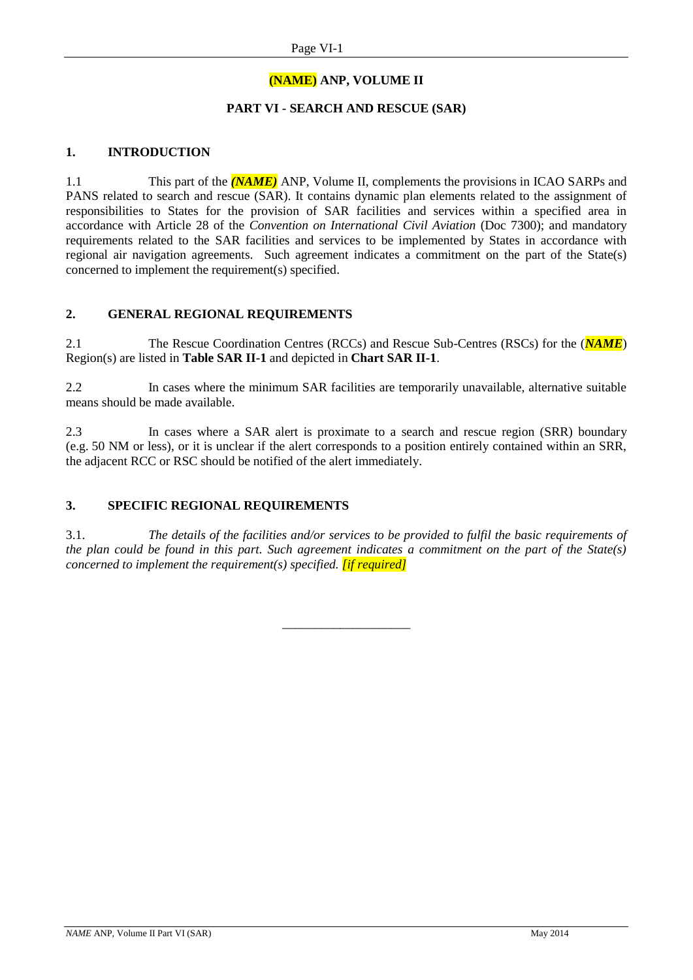# **(NAME) ANP, VOLUME II**

# **PART VI - SEARCH AND RESCUE (SAR)**

# **1. INTRODUCTION**

1.1 This part of the *(NAME)* ANP, Volume II, complements the provisions in ICAO SARPs and PANS related to search and rescue (SAR). It contains dynamic plan elements related to the assignment of responsibilities to States for the provision of SAR facilities and services within a specified area in accordance with Article 28 of the *Convention on International Civil Aviation* (Doc 7300); and mandatory requirements related to the SAR facilities and services to be implemented by States in accordance with regional air navigation agreements. Such agreement indicates a commitment on the part of the State(s) concerned to implement the requirement(s) specified.

### **2. GENERAL REGIONAL REQUIREMENTS**

2.1 The Rescue Coordination Centres (RCCs) and Rescue Sub-Centres (RSCs) for the (*NAME*) Region(s) are listed in **Table SAR II-1** and depicted in **Chart SAR II-1**.

2.2 In cases where the minimum SAR facilities are temporarily unavailable, alternative suitable means should be made available.

2.3 In cases where a SAR alert is proximate to a search and rescue region (SRR) boundary (e.g. 50 NM or less), or it is unclear if the alert corresponds to a position entirely contained within an SRR, the adjacent RCC or RSC should be notified of the alert immediately.

# **3. SPECIFIC REGIONAL REQUIREMENTS**

3.1. *The details of the facilities and/or services to be provided to fulfil the basic requirements of the plan could be found in this part. Such agreement indicates a commitment on the part of the State(s) concerned to implement the requirement(s) specified. <i>if required]* 

\_\_\_\_\_\_\_\_\_\_\_\_\_\_\_\_\_\_\_\_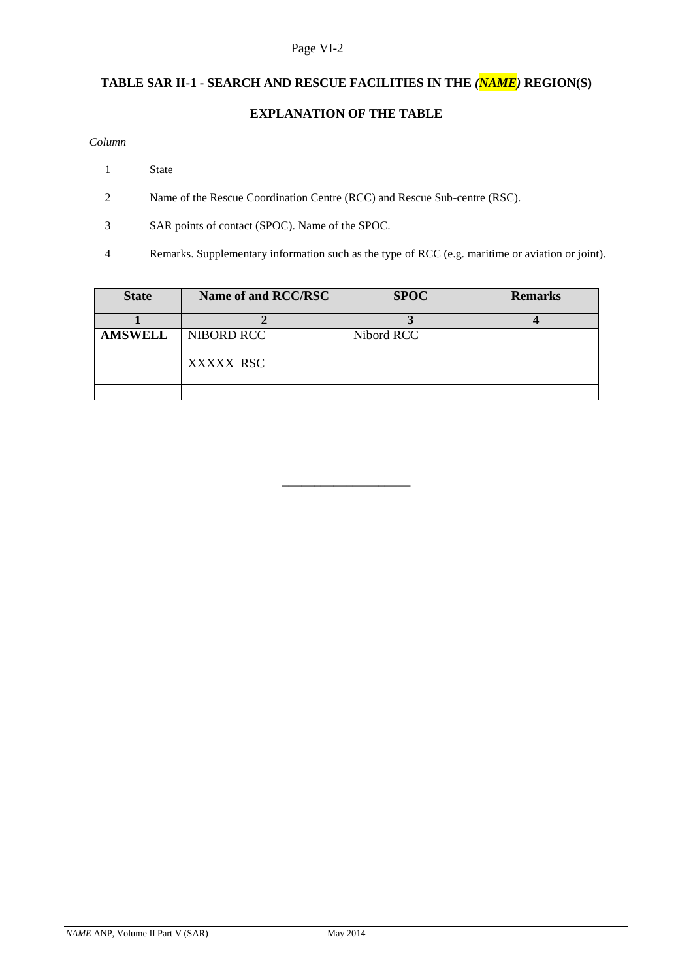# **TABLE SAR II-1 - SEARCH AND RESCUE FACILITIES IN THE** *(NAME)* **REGION(S)**

# **EXPLANATION OF THE TABLE**

### *Column*

- 1 State
- 2 Name of the Rescue Coordination Centre (RCC) and Rescue Sub-centre (RSC).
- 3 SAR points of contact (SPOC). Name of the SPOC.
- 4 Remarks. Supplementary information such as the type of RCC (e.g. maritime or aviation or joint).

| <b>State</b>   | Name of and RCC/RSC     | <b>SPOC</b> | <b>Remarks</b> |
|----------------|-------------------------|-------------|----------------|
|                |                         |             |                |
| <b>AMSWELL</b> | NIBORD RCC<br>XXXXX RSC | Nibord RCC  |                |
|                |                         |             |                |

\_\_\_\_\_\_\_\_\_\_\_\_\_\_\_\_\_\_\_\_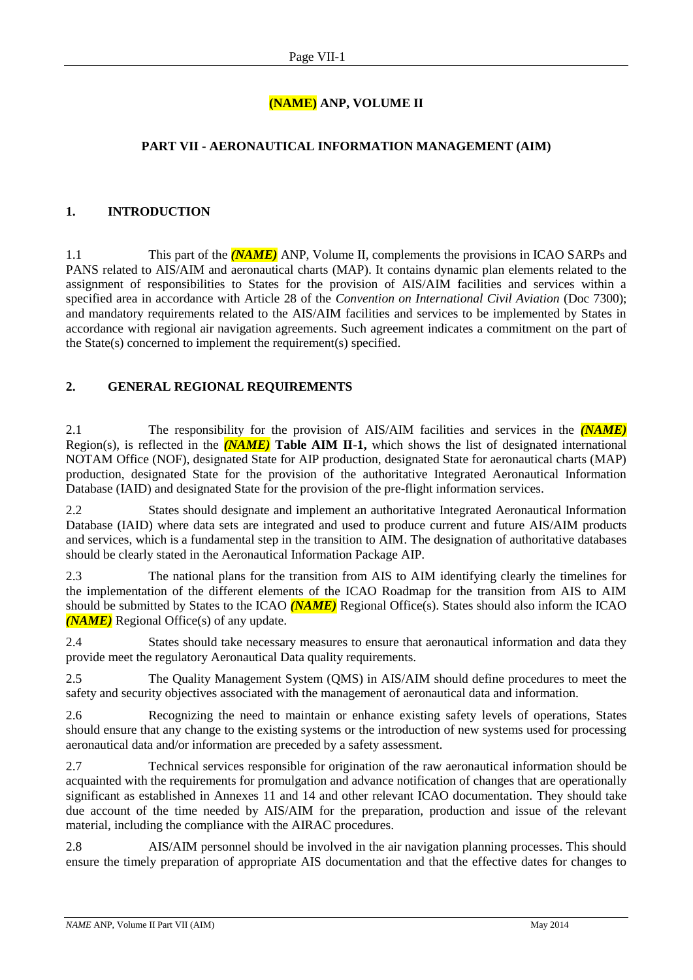# **(NAME) ANP, VOLUME II**

# **PART VII - AERONAUTICAL INFORMATION MANAGEMENT (AIM)**

# **1. INTRODUCTION**

1.1 This part of the *(NAME)* ANP, Volume II, complements the provisions in ICAO SARPs and PANS related to AIS/AIM and aeronautical charts (MAP). It contains dynamic plan elements related to the assignment of responsibilities to States for the provision of AIS/AIM facilities and services within a specified area in accordance with Article 28 of the *Convention on International Civil Aviation* (Doc 7300); and mandatory requirements related to the AIS/AIM facilities and services to be implemented by States in accordance with regional air navigation agreements. Such agreement indicates a commitment on the part of the State(s) concerned to implement the requirement(s) specified.

# **2. GENERAL REGIONAL REQUIREMENTS**

2.1 The responsibility for the provision of AIS/AIM facilities and services in the *(NAME)* Region(s), is reflected in the *(NAME)* **Table AIM II-1,** which shows the list of designated international NOTAM Office (NOF), designated State for AIP production, designated State for aeronautical charts (MAP) production, designated State for the provision of the authoritative Integrated Aeronautical Information Database (IAID) and designated State for the provision of the pre-flight information services.

2.2 States should designate and implement an authoritative Integrated Aeronautical Information Database (IAID) where data sets are integrated and used to produce current and future AIS/AIM products and services, which is a fundamental step in the transition to AIM. The designation of authoritative databases should be clearly stated in the Aeronautical Information Package AIP.

2.3 The national plans for the transition from AIS to AIM identifying clearly the timelines for the implementation of the different elements of the ICAO Roadmap for the transition from AIS to AIM should be submitted by States to the ICAO *(NAME)* Regional Office(s). States should also inform the ICAO *(NAME)* Regional Office(s) of any update.

2.4 States should take necessary measures to ensure that aeronautical information and data they provide meet the regulatory Aeronautical Data quality requirements.

2.5 The Quality Management System (QMS) in AIS/AIM should define procedures to meet the safety and security objectives associated with the management of aeronautical data and information.

2.6 Recognizing the need to maintain or enhance existing safety levels of operations, States should ensure that any change to the existing systems or the introduction of new systems used for processing aeronautical data and/or information are preceded by a safety assessment.

2.7 Technical services responsible for origination of the raw aeronautical information should be acquainted with the requirements for promulgation and advance notification of changes that are operationally significant as established in Annexes 11 and 14 and other relevant ICAO documentation. They should take due account of the time needed by AIS/AIM for the preparation, production and issue of the relevant material, including the compliance with the AIRAC procedures.

2.8 AIS/AIM personnel should be involved in the air navigation planning processes. This should ensure the timely preparation of appropriate AIS documentation and that the effective dates for changes to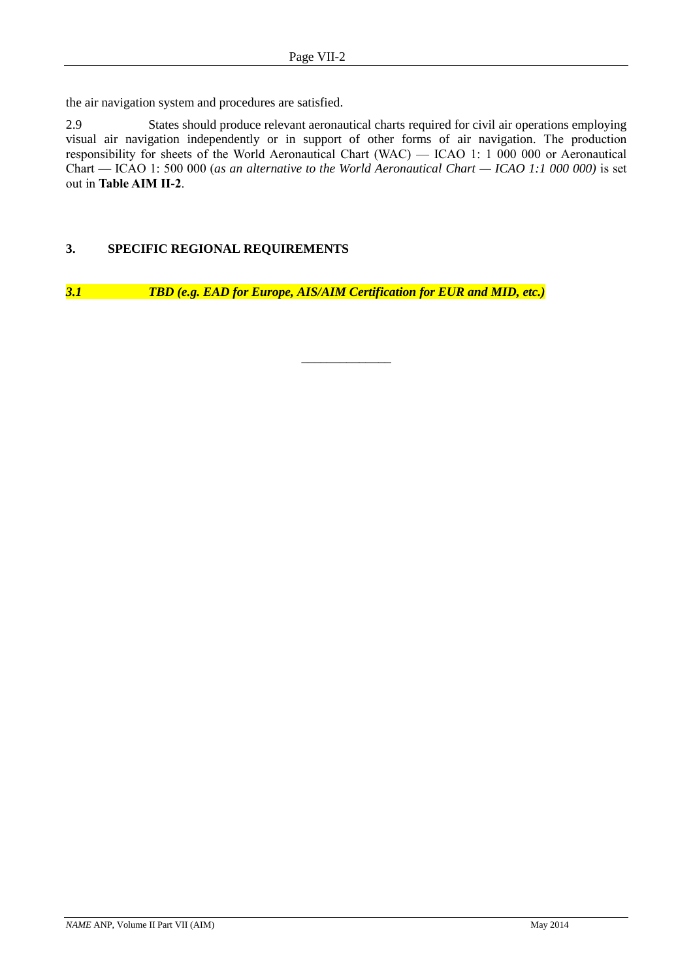the air navigation system and procedures are satisfied.

2.9 States should produce relevant aeronautical charts required for civil air operations employing visual air navigation independently or in support of other forms of air navigation. The production responsibility for sheets of the World Aeronautical Chart (WAC) — ICAO 1: 1 000 000 or Aeronautical Chart — ICAO 1: 500 000 (*as an alternative to the World Aeronautical Chart — ICAO 1:1 000 000)* is set out in **Table AIM II-2**.

\_\_\_\_\_\_\_\_\_\_\_\_\_\_

# **3. SPECIFIC REGIONAL REQUIREMENTS**

*3.1 TBD (e.g. EAD for Europe, AIS/AIM Certification for EUR and MID, etc.)*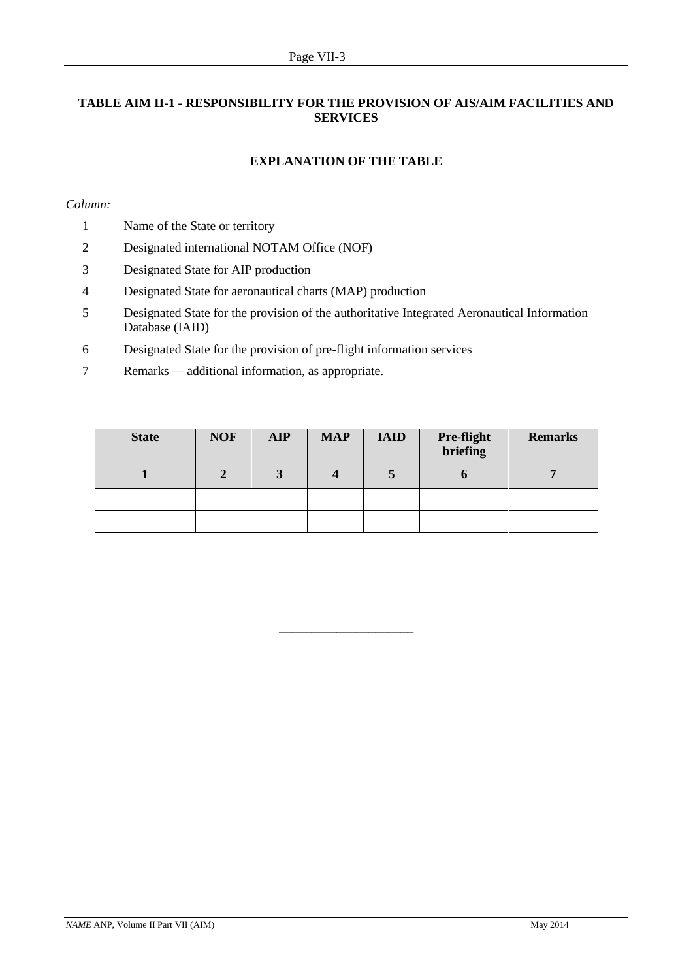# **TABLE AIM II-1 - RESPONSIBILITY FOR THE PROVISION OF AIS/AIM FACILITIES AND SERVICES**

# **EXPLANATION OF THE TABLE**

### *Column:*

- 1 Name of the State or territory
- 2 Designated international NOTAM Office (NOF)
- 3 Designated State for AIP production
- 4 Designated State for aeronautical charts (MAP) production
- 5 Designated State for the provision of the authoritative Integrated Aeronautical Information Database (IAID)
- 6 Designated State for the provision of pre-flight information services
- 7 Remarks *—* additional information, as appropriate.

| <b>State</b> | <b>NOF</b> | <b>AIP</b> | <b>MAP</b> | <b>IAID</b> | <b>Pre-flight</b><br>briefing | <b>Remarks</b> |
|--------------|------------|------------|------------|-------------|-------------------------------|----------------|
|              |            |            |            |             |                               |                |
|              |            |            |            |             |                               |                |
|              |            |            |            |             |                               |                |

\_\_\_\_\_\_\_\_\_\_\_\_\_\_\_\_\_\_\_\_\_